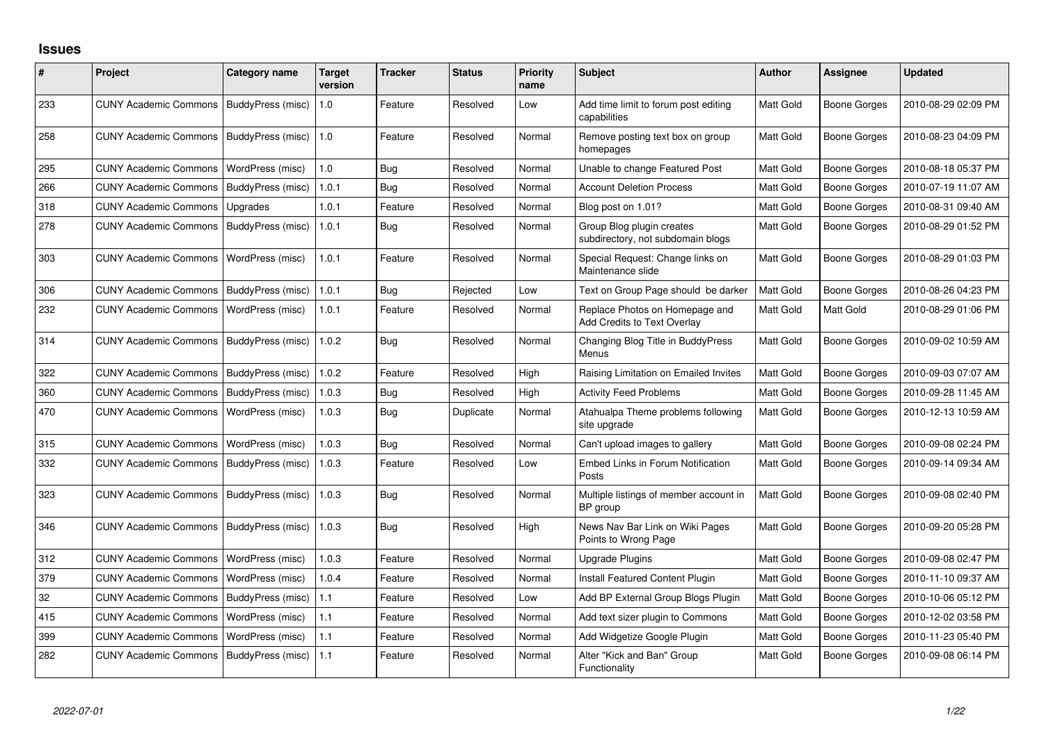## **Issues**

| #   | Project                      | Category name     | Target<br>version | <b>Tracker</b> | <b>Status</b> | <b>Priority</b><br>name | <b>Subject</b>                                                       | <b>Author</b> | <b>Assignee</b>     | <b>Updated</b>      |
|-----|------------------------------|-------------------|-------------------|----------------|---------------|-------------------------|----------------------------------------------------------------------|---------------|---------------------|---------------------|
| 233 | <b>CUNY Academic Commons</b> | BuddyPress (misc) | 1.0               | Feature        | Resolved      | Low                     | Add time limit to forum post editing<br>capabilities                 | Matt Gold     | <b>Boone Gorges</b> | 2010-08-29 02:09 PM |
| 258 | <b>CUNY Academic Commons</b> | BuddyPress (misc) | 1.0               | Feature        | Resolved      | Normal                  | Remove posting text box on group<br>homepages                        | Matt Gold     | <b>Boone Gorges</b> | 2010-08-23 04:09 PM |
| 295 | <b>CUNY Academic Commons</b> | WordPress (misc)  | 1.0               | Bug            | Resolved      | Normal                  | Unable to change Featured Post                                       | Matt Gold     | <b>Boone Gorges</b> | 2010-08-18 05:37 PM |
| 266 | <b>CUNY Academic Commons</b> | BuddyPress (misc) | 1.0.1             | Bug            | Resolved      | Normal                  | <b>Account Deletion Process</b>                                      | Matt Gold     | <b>Boone Gorges</b> | 2010-07-19 11:07 AM |
| 318 | <b>CUNY Academic Commons</b> | Upgrades          | 1.0.1             | Feature        | Resolved      | Normal                  | Blog post on 1.01?                                                   | Matt Gold     | Boone Gorges        | 2010-08-31 09:40 AM |
| 278 | <b>CUNY Academic Commons</b> | BuddyPress (misc) | 1.0.1             | Bug            | Resolved      | Normal                  | Group Blog plugin creates<br>subdirectory, not subdomain blogs       | Matt Gold     | <b>Boone Gorges</b> | 2010-08-29 01:52 PM |
| 303 | <b>CUNY Academic Commons</b> | WordPress (misc)  | 1.0.1             | Feature        | Resolved      | Normal                  | Special Request: Change links on<br>Maintenance slide                | Matt Gold     | Boone Gorges        | 2010-08-29 01:03 PM |
| 306 | <b>CUNY Academic Commons</b> | BuddyPress (misc) | 1.0.1             | Bug            | Rejected      | Low                     | Text on Group Page should be darker                                  | Matt Gold     | <b>Boone Gorges</b> | 2010-08-26 04:23 PM |
| 232 | <b>CUNY Academic Commons</b> | WordPress (misc)  | 1.0.1             | Feature        | Resolved      | Normal                  | Replace Photos on Homepage and<br><b>Add Credits to Text Overlay</b> | Matt Gold     | Matt Gold           | 2010-08-29 01:06 PM |
| 314 | <b>CUNY Academic Commons</b> | BuddyPress (misc) | 1.0.2             | <b>Bug</b>     | Resolved      | Normal                  | Changing Blog Title in BuddyPress<br>Menus                           | Matt Gold     | Boone Gorges        | 2010-09-02 10:59 AM |
| 322 | <b>CUNY Academic Commons</b> | BuddyPress (misc) | 1.0.2             | Feature        | Resolved      | High                    | Raising Limitation on Emailed Invites                                | Matt Gold     | <b>Boone Gorges</b> | 2010-09-03 07:07 AM |
| 360 | <b>CUNY Academic Commons</b> | BuddyPress (misc) | 1.0.3             | Bug            | Resolved      | High                    | <b>Activity Feed Problems</b>                                        | Matt Gold     | <b>Boone Gorges</b> | 2010-09-28 11:45 AM |
| 470 | <b>CUNY Academic Commons</b> | WordPress (misc)  | 1.0.3             | Bug            | Duplicate     | Normal                  | Atahualpa Theme problems following<br>site upgrade                   | Matt Gold     | <b>Boone Gorges</b> | 2010-12-13 10:59 AM |
| 315 | <b>CUNY Academic Commons</b> | WordPress (misc)  | 1.0.3             | <b>Bug</b>     | Resolved      | Normal                  | Can't upload images to gallery                                       | Matt Gold     | <b>Boone Gorges</b> | 2010-09-08 02:24 PM |
| 332 | <b>CUNY Academic Commons</b> | BuddyPress (misc) | 1.0.3             | Feature        | Resolved      | Low                     | Embed Links in Forum Notification<br>Posts                           | Matt Gold     | <b>Boone Gorges</b> | 2010-09-14 09:34 AM |
| 323 | <b>CUNY Academic Commons</b> | BuddyPress (misc) | 1.0.3             | Bug            | Resolved      | Normal                  | Multiple listings of member account in<br>BP group                   | Matt Gold     | <b>Boone Gorges</b> | 2010-09-08 02:40 PM |
| 346 | <b>CUNY Academic Commons</b> | BuddyPress (misc) | 1.0.3             | Bug            | Resolved      | High                    | News Nav Bar Link on Wiki Pages<br>Points to Wrong Page              | Matt Gold     | <b>Boone Gorges</b> | 2010-09-20 05:28 PM |
| 312 | <b>CUNY Academic Commons</b> | WordPress (misc)  | 1.0.3             | Feature        | Resolved      | Normal                  | <b>Upgrade Plugins</b>                                               | Matt Gold     | <b>Boone Gorges</b> | 2010-09-08 02:47 PM |
| 379 | <b>CUNY Academic Commons</b> | WordPress (misc)  | 1.0.4             | Feature        | Resolved      | Normal                  | Install Featured Content Plugin                                      | Matt Gold     | Boone Gorges        | 2010-11-10 09:37 AM |
| 32  | <b>CUNY Academic Commons</b> | BuddyPress (misc) | $1.1$             | Feature        | Resolved      | Low                     | Add BP External Group Blogs Plugin                                   | Matt Gold     | <b>Boone Gorges</b> | 2010-10-06 05:12 PM |
| 415 | <b>CUNY Academic Commons</b> | WordPress (misc)  | 1.1               | Feature        | Resolved      | Normal                  | Add text sizer plugin to Commons                                     | Matt Gold     | <b>Boone Gorges</b> | 2010-12-02 03:58 PM |
| 399 | <b>CUNY Academic Commons</b> | WordPress (misc)  | 1.1               | Feature        | Resolved      | Normal                  | Add Widgetize Google Plugin                                          | Matt Gold     | Boone Gorges        | 2010-11-23 05:40 PM |
| 282 | <b>CUNY Academic Commons</b> | BuddyPress (misc) | 1.1               | Feature        | Resolved      | Normal                  | Alter "Kick and Ban" Group<br>Functionality                          | Matt Gold     | <b>Boone Gorges</b> | 2010-09-08 06:14 PM |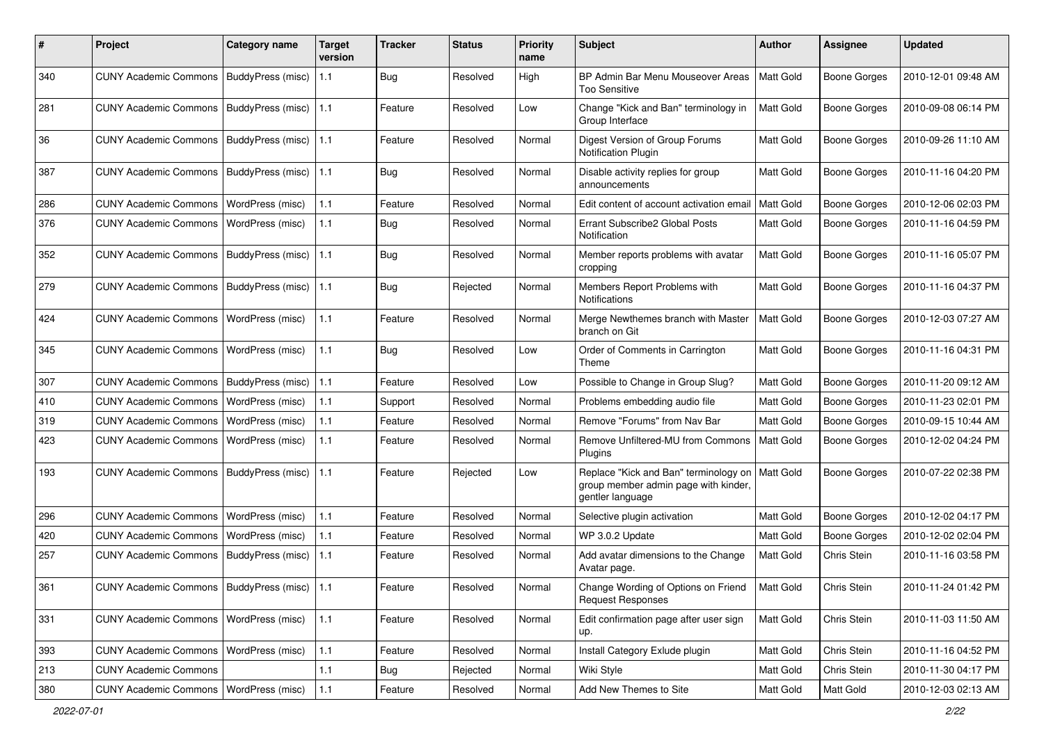| $\#$ | Project                                         | <b>Category name</b>     | <b>Target</b><br>version | <b>Tracker</b> | <b>Status</b> | <b>Priority</b><br>name | <b>Subject</b>                                                                                    | <b>Author</b> | <b>Assignee</b>     | <b>Updated</b>      |
|------|-------------------------------------------------|--------------------------|--------------------------|----------------|---------------|-------------------------|---------------------------------------------------------------------------------------------------|---------------|---------------------|---------------------|
| 340  | <b>CUNY Academic Commons</b>                    | BuddyPress (misc)        | 1.1                      | Bug            | Resolved      | High                    | BP Admin Bar Menu Mouseover Areas<br><b>Too Sensitive</b>                                         | Matt Gold     | <b>Boone Gorges</b> | 2010-12-01 09:48 AM |
| 281  | <b>CUNY Academic Commons</b>                    | <b>BuddyPress (misc)</b> | 1.1                      | Feature        | Resolved      | Low                     | Change "Kick and Ban" terminology in<br>Group Interface                                           | Matt Gold     | Boone Gorges        | 2010-09-08 06:14 PM |
| 36   | <b>CUNY Academic Commons</b>                    | BuddyPress (misc)        | 1.1                      | Feature        | Resolved      | Normal                  | Digest Version of Group Forums<br><b>Notification Plugin</b>                                      | Matt Gold     | Boone Gorges        | 2010-09-26 11:10 AM |
| 387  | <b>CUNY Academic Commons</b>                    | BuddyPress (misc)        | 1.1                      | Bug            | Resolved      | Normal                  | Disable activity replies for group<br>announcements                                               | Matt Gold     | <b>Boone Gorges</b> | 2010-11-16 04:20 PM |
| 286  | <b>CUNY Academic Commons</b>                    | WordPress (misc)         | 1.1                      | Feature        | Resolved      | Normal                  | Edit content of account activation email                                                          | Matt Gold     | <b>Boone Gorges</b> | 2010-12-06 02:03 PM |
| 376  | <b>CUNY Academic Commons</b>                    | WordPress (misc)         | 1.1                      | <b>Bug</b>     | Resolved      | Normal                  | Errant Subscribe2 Global Posts<br>Notification                                                    | Matt Gold     | <b>Boone Gorges</b> | 2010-11-16 04:59 PM |
| 352  | <b>CUNY Academic Commons</b>                    | BuddyPress (misc)        | 1.1                      | <b>Bug</b>     | Resolved      | Normal                  | Member reports problems with avatar<br>cropping                                                   | Matt Gold     | Boone Gorges        | 2010-11-16 05:07 PM |
| 279  | <b>CUNY Academic Commons</b>                    | BuddyPress (misc)        | 1.1                      | <b>Bug</b>     | Rejected      | Normal                  | Members Report Problems with<br><b>Notifications</b>                                              | Matt Gold     | Boone Gorges        | 2010-11-16 04:37 PM |
| 424  | <b>CUNY Academic Commons</b>                    | WordPress (misc)         | 1.1                      | Feature        | Resolved      | Normal                  | Merge Newthemes branch with Master<br>branch on Git                                               | Matt Gold     | Boone Gorges        | 2010-12-03 07:27 AM |
| 345  | <b>CUNY Academic Commons</b>                    | WordPress (misc)         | 1.1                      | Bug            | Resolved      | Low                     | Order of Comments in Carrington<br>Theme                                                          | Matt Gold     | <b>Boone Gorges</b> | 2010-11-16 04:31 PM |
| 307  | <b>CUNY Academic Commons</b>                    | BuddyPress (misc)        | 1.1                      | Feature        | Resolved      | Low                     | Possible to Change in Group Slug?                                                                 | Matt Gold     | <b>Boone Gorges</b> | 2010-11-20 09:12 AM |
| 410  | <b>CUNY Academic Commons</b>                    | WordPress (misc)         | 1.1                      | Support        | Resolved      | Normal                  | Problems embedding audio file                                                                     | Matt Gold     | <b>Boone Gorges</b> | 2010-11-23 02:01 PM |
| 319  | <b>CUNY Academic Commons</b>                    | WordPress (misc)         | 1.1                      | Feature        | Resolved      | Normal                  | Remove "Forums" from Nav Bar                                                                      | Matt Gold     | <b>Boone Gorges</b> | 2010-09-15 10:44 AM |
| 423  | <b>CUNY Academic Commons</b>                    | WordPress (misc)         | 1.1                      | Feature        | Resolved      | Normal                  | Remove Unfiltered-MU from Commons<br>Plugins                                                      | Matt Gold     | Boone Gorges        | 2010-12-02 04:24 PM |
| 193  | <b>CUNY Academic Commons</b>                    | BuddyPress (misc)        | 1.1                      | Feature        | Rejected      | Low                     | Replace "Kick and Ban" terminology on<br>group member admin page with kinder,<br>gentler language | Matt Gold     | <b>Boone Gorges</b> | 2010-07-22 02:38 PM |
| 296  | <b>CUNY Academic Commons</b>                    | WordPress (misc)         | 1.1                      | Feature        | Resolved      | Normal                  | Selective plugin activation                                                                       | Matt Gold     | Boone Gorges        | 2010-12-02 04:17 PM |
| 420  | <b>CUNY Academic Commons</b>                    | WordPress (misc)         | 1.1                      | Feature        | Resolved      | Normal                  | WP 3.0.2 Update                                                                                   | Matt Gold     | <b>Boone Gorges</b> | 2010-12-02 02:04 PM |
| 257  | <b>CUNY Academic Commons</b>                    | BuddyPress (misc)        | 1.1                      | Feature        | Resolved      | Normal                  | Add avatar dimensions to the Change<br>Avatar page.                                               | Matt Gold     | Chris Stein         | 2010-11-16 03:58 PM |
| 361  | CUNY Academic Commons   BuddyPress (misc)   1.1 |                          |                          | Feature        | Resolved      | Normal                  | Change Wording of Options on Friend<br><b>Request Responses</b>                                   | Matt Gold     | Chris Stein         | 2010-11-24 01:42 PM |
| 331  | CUNY Academic Commons   WordPress (misc)        |                          | $1.1$                    | Feature        | Resolved      | Normal                  | Edit confirmation page after user sign<br>up.                                                     | Matt Gold     | Chris Stein         | 2010-11-03 11:50 AM |
| 393  | <b>CUNY Academic Commons</b>                    | WordPress (misc)         | $1.1$                    | Feature        | Resolved      | Normal                  | Install Category Exlude plugin                                                                    | Matt Gold     | Chris Stein         | 2010-11-16 04:52 PM |
| 213  | <b>CUNY Academic Commons</b>                    |                          | $1.1$                    | Bug            | Rejected      | Normal                  | Wiki Style                                                                                        | Matt Gold     | Chris Stein         | 2010-11-30 04:17 PM |
| 380  | CUNY Academic Commons   WordPress (misc)        |                          | 1.1                      | Feature        | Resolved      | Normal                  | Add New Themes to Site                                                                            | Matt Gold     | Matt Gold           | 2010-12-03 02:13 AM |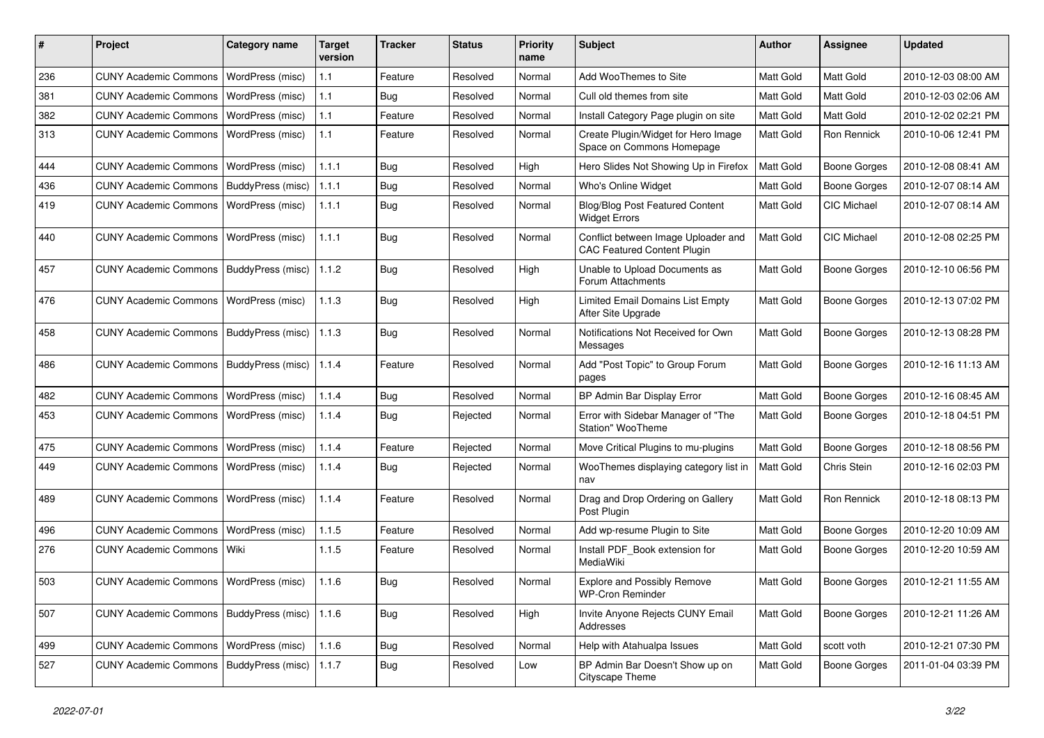| #   | Project                                   | <b>Category name</b>     | <b>Target</b><br>version | <b>Tracker</b> | <b>Status</b> | <b>Priority</b><br>name | <b>Subject</b>                                                            | Author           | <b>Assignee</b>     | <b>Updated</b>      |
|-----|-------------------------------------------|--------------------------|--------------------------|----------------|---------------|-------------------------|---------------------------------------------------------------------------|------------------|---------------------|---------------------|
| 236 | <b>CUNY Academic Commons</b>              | WordPress (misc)         | 1.1                      | Feature        | Resolved      | Normal                  | Add Woo Themes to Site                                                    | <b>Matt Gold</b> | Matt Gold           | 2010-12-03 08:00 AM |
| 381 | <b>CUNY Academic Commons</b>              | WordPress (misc)         | 1.1                      | <b>Bug</b>     | Resolved      | Normal                  | Cull old themes from site                                                 | Matt Gold        | Matt Gold           | 2010-12-03 02:06 AM |
| 382 | <b>CUNY Academic Commons</b>              | WordPress (misc)         | 1.1                      | Feature        | Resolved      | Normal                  | Install Category Page plugin on site                                      | Matt Gold        | Matt Gold           | 2010-12-02 02:21 PM |
| 313 | <b>CUNY Academic Commons</b>              | <b>WordPress (misc)</b>  | 1.1                      | Feature        | Resolved      | Normal                  | Create Plugin/Widget for Hero Image<br>Space on Commons Homepage          | Matt Gold        | Ron Rennick         | 2010-10-06 12:41 PM |
| 444 | <b>CUNY Academic Commons</b>              | WordPress (misc)         | 1.1.1                    | Bug            | Resolved      | High                    | Hero Slides Not Showing Up in Firefox                                     | Matt Gold        | <b>Boone Gorges</b> | 2010-12-08 08:41 AM |
| 436 | <b>CUNY Academic Commons</b>              | BuddyPress (misc)        | 1.1.1                    | Bug            | Resolved      | Normal                  | Who's Online Widget                                                       | Matt Gold        | <b>Boone Gorges</b> | 2010-12-07 08:14 AM |
| 419 | <b>CUNY Academic Commons</b>              | WordPress (misc)         | 1.1.1                    | Bug            | Resolved      | Normal                  | <b>Blog/Blog Post Featured Content</b><br><b>Widget Errors</b>            | Matt Gold        | CIC Michael         | 2010-12-07 08:14 AM |
| 440 | <b>CUNY Academic Commons</b>              | <b>WordPress (misc)</b>  | 1.1.1                    | <b>Bug</b>     | Resolved      | Normal                  | Conflict between Image Uploader and<br><b>CAC Featured Content Plugin</b> | Matt Gold        | CIC Michael         | 2010-12-08 02:25 PM |
| 457 | <b>CUNY Academic Commons</b>              | BuddyPress (misc)        | 1.1.2                    | <b>Bug</b>     | Resolved      | High                    | Unable to Upload Documents as<br>Forum Attachments                        | Matt Gold        | Boone Gorges        | 2010-12-10 06:56 PM |
| 476 | <b>CUNY Academic Commons</b>              | <b>WordPress (misc)</b>  | 1.1.3                    | <b>Bug</b>     | Resolved      | High                    | <b>Limited Email Domains List Empty</b><br>After Site Upgrade             | Matt Gold        | <b>Boone Gorges</b> | 2010-12-13 07:02 PM |
| 458 | <b>CUNY Academic Commons</b>              | BuddyPress (misc)        | 1.1.3                    | <b>Bug</b>     | Resolved      | Normal                  | Notifications Not Received for Own<br>Messages                            | <b>Matt Gold</b> | <b>Boone Gorges</b> | 2010-12-13 08:28 PM |
| 486 | <b>CUNY Academic Commons</b>              | <b>BuddyPress (misc)</b> | 1.1.4                    | Feature        | Resolved      | Normal                  | Add "Post Topic" to Group Forum<br>pages                                  | <b>Matt Gold</b> | <b>Boone Gorges</b> | 2010-12-16 11:13 AM |
| 482 | <b>CUNY Academic Commons</b>              | WordPress (misc)         | 1.1.4                    | <b>Bug</b>     | Resolved      | Normal                  | BP Admin Bar Display Error                                                | Matt Gold        | <b>Boone Gorges</b> | 2010-12-16 08:45 AM |
| 453 | <b>CUNY Academic Commons</b>              | WordPress (misc)         | 1.1.4                    | <b>Bug</b>     | Rejected      | Normal                  | Error with Sidebar Manager of "The<br>Station" WooTheme                   | Matt Gold        | Boone Gorges        | 2010-12-18 04:51 PM |
| 475 | <b>CUNY Academic Commons</b>              | WordPress (misc)         | 1.1.4                    | Feature        | Rejected      | Normal                  | Move Critical Plugins to mu-plugins                                       | Matt Gold        | <b>Boone Gorges</b> | 2010-12-18 08:56 PM |
| 449 | <b>CUNY Academic Commons</b>              | WordPress (misc)         | 1.1.4                    | Bug            | Rejected      | Normal                  | WooThemes displaying category list in<br>nav                              | Matt Gold        | Chris Stein         | 2010-12-16 02:03 PM |
| 489 | <b>CUNY Academic Commons</b>              | WordPress (misc)         | 1.1.4                    | Feature        | Resolved      | Normal                  | Drag and Drop Ordering on Gallery<br>Post Plugin                          | Matt Gold        | Ron Rennick         | 2010-12-18 08:13 PM |
| 496 | <b>CUNY Academic Commons</b>              | WordPress (misc)         | 1.1.5                    | Feature        | Resolved      | Normal                  | Add wp-resume Plugin to Site                                              | Matt Gold        | <b>Boone Gorges</b> | 2010-12-20 10:09 AM |
| 276 | <b>CUNY Academic Commons</b>              | Wiki                     | 1.1.5                    | Feature        | Resolved      | Normal                  | Install PDF_Book extension for<br>MediaWiki                               | Matt Gold        | Boone Gorges        | 2010-12-20 10:59 AM |
| 503 | CUNY Academic Commons   WordPress (misc)  |                          | 1.1.6                    | Bug            | Resolved      | Normal                  | <b>Explore and Possibly Remove</b><br><b>WP-Cron Reminder</b>             | Matt Gold        | Boone Gorges        | 2010-12-21 11:55 AM |
| 507 | <b>CUNY Academic Commons</b>              | BuddyPress (misc)        | 1.1.6                    | <b>Bug</b>     | Resolved      | High                    | Invite Anyone Rejects CUNY Email<br>Addresses                             | Matt Gold        | Boone Gorges        | 2010-12-21 11:26 AM |
| 499 | <b>CUNY Academic Commons</b>              | WordPress (misc)         | 1.1.6                    | <b>Bug</b>     | Resolved      | Normal                  | Help with Atahualpa Issues                                                | Matt Gold        | scott voth          | 2010-12-21 07:30 PM |
| 527 | CUNY Academic Commons   BuddyPress (misc) |                          | 1.1.7                    | <b>Bug</b>     | Resolved      | Low                     | BP Admin Bar Doesn't Show up on<br>Cityscape Theme                        | Matt Gold        | <b>Boone Gorges</b> | 2011-01-04 03:39 PM |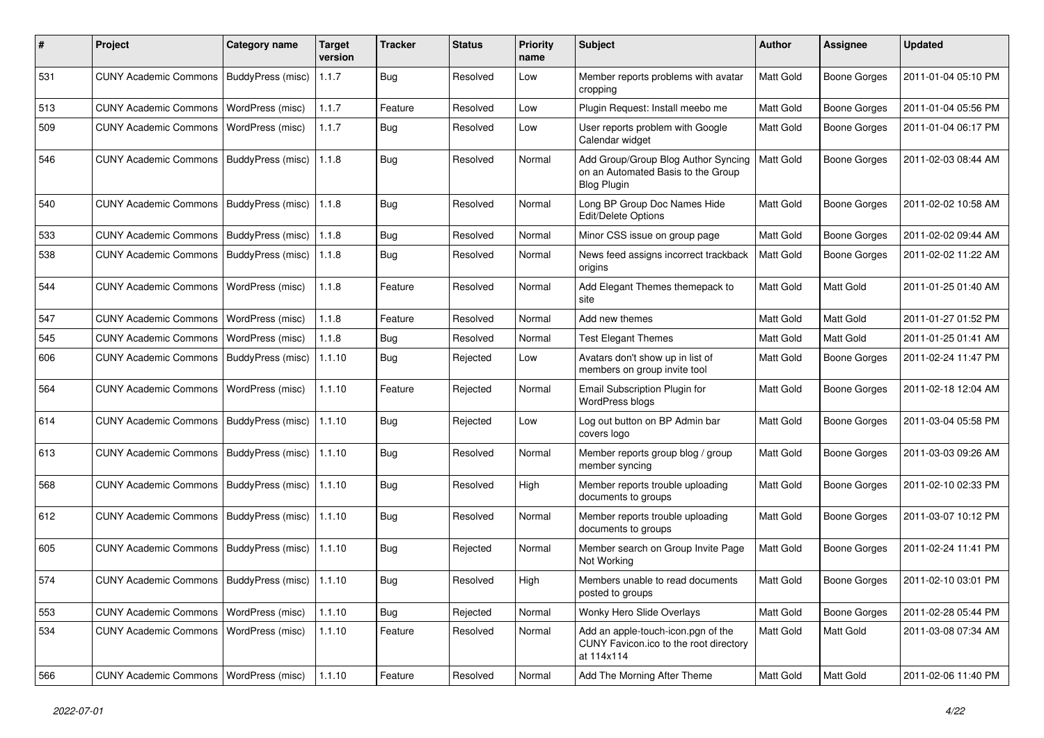| $\pmb{\#}$ | Project                                   | <b>Category name</b>     | <b>Target</b><br>version | <b>Tracker</b> | <b>Status</b> | <b>Priority</b><br>name | Subject                                                                                         | <b>Author</b>    | Assignee            | <b>Updated</b>      |
|------------|-------------------------------------------|--------------------------|--------------------------|----------------|---------------|-------------------------|-------------------------------------------------------------------------------------------------|------------------|---------------------|---------------------|
| 531        | <b>CUNY Academic Commons</b>              | BuddyPress (misc)        | 1.1.7                    | <b>Bug</b>     | Resolved      | Low                     | Member reports problems with avatar<br>cropping                                                 | <b>Matt Gold</b> | <b>Boone Gorges</b> | 2011-01-04 05:10 PM |
| 513        | <b>CUNY Academic Commons</b>              | <b>WordPress (misc)</b>  | 1.1.7                    | Feature        | Resolved      | Low                     | Plugin Request: Install meebo me                                                                | Matt Gold        | <b>Boone Gorges</b> | 2011-01-04 05:56 PM |
| 509        | <b>CUNY Academic Commons</b>              | <b>WordPress (misc)</b>  | 1.1.7                    | Bug            | Resolved      | Low                     | User reports problem with Google<br>Calendar widget                                             | Matt Gold        | Boone Gorges        | 2011-01-04 06:17 PM |
| 546        | <b>CUNY Academic Commons</b>              | BuddyPress (misc)        | 1.1.8                    | <b>Bug</b>     | Resolved      | Normal                  | Add Group/Group Blog Author Syncing<br>on an Automated Basis to the Group<br><b>Blog Plugin</b> | Matt Gold        | <b>Boone Gorges</b> | 2011-02-03 08:44 AM |
| 540        | <b>CUNY Academic Commons</b>              | BuddyPress (misc)        | 1.1.8                    | Bug            | Resolved      | Normal                  | Long BP Group Doc Names Hide<br>Edit/Delete Options                                             | <b>Matt Gold</b> | <b>Boone Gorges</b> | 2011-02-02 10:58 AM |
| 533        | <b>CUNY Academic Commons</b>              | BuddyPress (misc)        | 1.1.8                    | <b>Bug</b>     | Resolved      | Normal                  | Minor CSS issue on group page                                                                   | Matt Gold        | Boone Gorges        | 2011-02-02 09:44 AM |
| 538        | <b>CUNY Academic Commons</b>              | BuddyPress (misc)        | 1.1.8                    | Bug            | Resolved      | Normal                  | News feed assigns incorrect trackback<br>origins                                                | Matt Gold        | Boone Gorges        | 2011-02-02 11:22 AM |
| 544        | <b>CUNY Academic Commons</b>              | WordPress (misc)         | 1.1.8                    | Feature        | Resolved      | Normal                  | Add Elegant Themes themepack to<br>site                                                         | <b>Matt Gold</b> | Matt Gold           | 2011-01-25 01:40 AM |
| 547        | <b>CUNY Academic Commons</b>              | WordPress (misc)         | 1.1.8                    | Feature        | Resolved      | Normal                  | Add new themes                                                                                  | Matt Gold        | Matt Gold           | 2011-01-27 01:52 PM |
| 545        | <b>CUNY Academic Commons</b>              | WordPress (misc)         | 1.1.8                    | Bug            | Resolved      | Normal                  | <b>Test Elegant Themes</b>                                                                      | Matt Gold        | Matt Gold           | 2011-01-25 01:41 AM |
| 606        | <b>CUNY Academic Commons</b>              | <b>BuddyPress (misc)</b> | 1.1.10                   | Bug            | Rejected      | Low                     | Avatars don't show up in list of<br>members on group invite tool                                | Matt Gold        | Boone Gorges        | 2011-02-24 11:47 PM |
| 564        | <b>CUNY Academic Commons</b>              | WordPress (misc)         | 1.1.10                   | Feature        | Rejected      | Normal                  | Email Subscription Plugin for<br>WordPress blogs                                                | <b>Matt Gold</b> | <b>Boone Gorges</b> | 2011-02-18 12:04 AM |
| 614        | <b>CUNY Academic Commons</b>              | BuddyPress (misc)        | 1.1.10                   | Bug            | Rejected      | Low                     | Log out button on BP Admin bar<br>covers logo                                                   | Matt Gold        | <b>Boone Gorges</b> | 2011-03-04 05:58 PM |
| 613        | <b>CUNY Academic Commons</b>              | BuddyPress (misc)        | 1.1.10                   | <b>Bug</b>     | Resolved      | Normal                  | Member reports group blog / group<br>member syncing                                             | Matt Gold        | <b>Boone Gorges</b> | 2011-03-03 09:26 AM |
| 568        | <b>CUNY Academic Commons</b>              | BuddyPress (misc)        | 1.1.10                   | <b>Bug</b>     | Resolved      | High                    | Member reports trouble uploading<br>documents to groups                                         | Matt Gold        | Boone Gorges        | 2011-02-10 02:33 PM |
| 612        | <b>CUNY Academic Commons</b>              | BuddyPress (misc)        | 1.1.10                   | Bug            | Resolved      | Normal                  | Member reports trouble uploading<br>documents to groups                                         | Matt Gold        | <b>Boone Gorges</b> | 2011-03-07 10:12 PM |
| 605        | <b>CUNY Academic Commons</b>              | BuddyPress (misc)        | 1.1.10                   | <b>Bug</b>     | Rejected      | Normal                  | Member search on Group Invite Page<br>Not Working                                               | Matt Gold        | Boone Gorges        | 2011-02-24 11:41 PM |
| 574        | CUNY Academic Commons   BuddyPress (misc) |                          | 1.1.10                   | <b>Bug</b>     | Resolved      | High                    | Members unable to read documents<br>posted to groups                                            | <b>Matt Gold</b> | Boone Gorges        | 2011-02-10 03:01 PM |
| 553        | <b>CUNY Academic Commons</b>              | <b>WordPress (misc)</b>  | 1.1.10                   | <b>Bug</b>     | Rejected      | Normal                  | Wonky Hero Slide Overlays                                                                       | Matt Gold        | <b>Boone Gorges</b> | 2011-02-28 05:44 PM |
| 534        | <b>CUNY Academic Commons</b>              | <b>WordPress (misc)</b>  | 1.1.10                   | Feature        | Resolved      | Normal                  | Add an apple-touch-icon.pgn of the<br>CUNY Favicon.ico to the root directory<br>at 114x114      | Matt Gold        | Matt Gold           | 2011-03-08 07:34 AM |
| 566        | CUNY Academic Commons   WordPress (misc)  |                          | 1.1.10                   | Feature        | Resolved      | Normal                  | Add The Morning After Theme                                                                     | Matt Gold        | Matt Gold           | 2011-02-06 11:40 PM |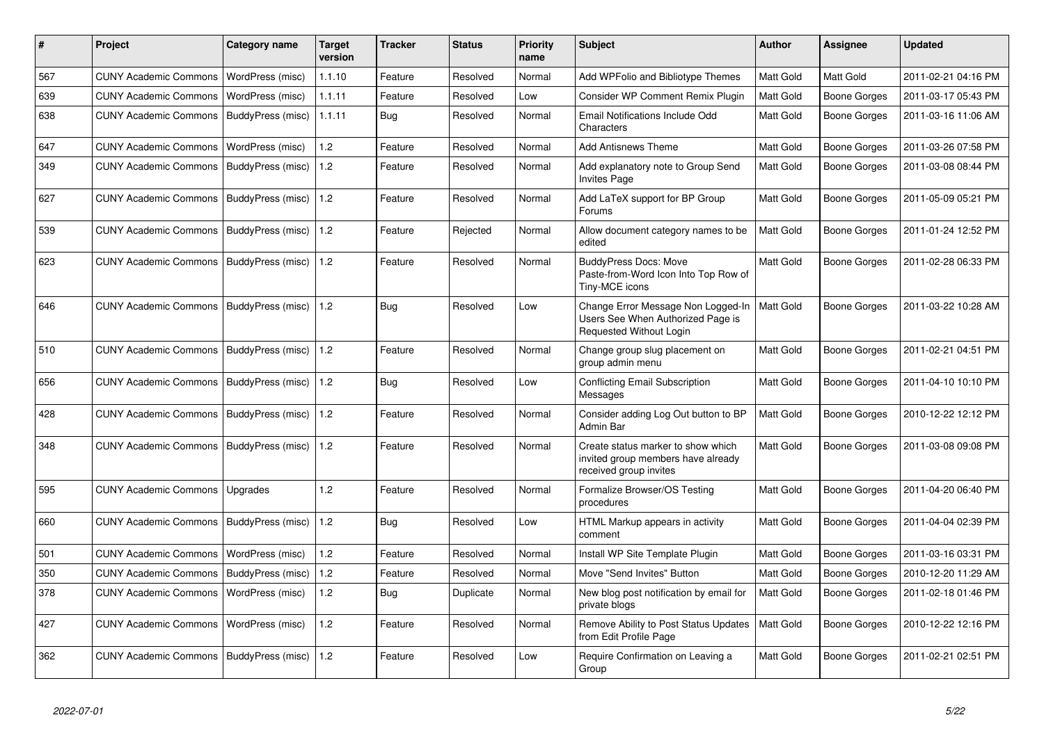| #   | Project                                   | <b>Category name</b> | Target<br>version | <b>Tracker</b> | <b>Status</b> | <b>Priority</b><br>name | <b>Subject</b>                                                                                     | <b>Author</b>    | Assignee     | <b>Updated</b>      |
|-----|-------------------------------------------|----------------------|-------------------|----------------|---------------|-------------------------|----------------------------------------------------------------------------------------------------|------------------|--------------|---------------------|
| 567 | <b>CUNY Academic Commons</b>              | WordPress (misc)     | 1.1.10            | Feature        | Resolved      | Normal                  | Add WPFolio and Bibliotype Themes                                                                  | Matt Gold        | Matt Gold    | 2011-02-21 04:16 PM |
| 639 | <b>CUNY Academic Commons</b>              | WordPress (misc)     | 1.1.11            | Feature        | Resolved      | Low                     | Consider WP Comment Remix Plugin                                                                   | Matt Gold        | Boone Gorges | 2011-03-17 05:43 PM |
| 638 | <b>CUNY Academic Commons</b>              | BuddyPress (misc)    | 1.1.11            | Bug            | Resolved      | Normal                  | Email Notifications Include Odd<br>Characters                                                      | Matt Gold        | Boone Gorges | 2011-03-16 11:06 AM |
| 647 | <b>CUNY Academic Commons</b>              | WordPress (misc)     | 1.2               | Feature        | Resolved      | Normal                  | Add Antisnews Theme                                                                                | Matt Gold        | Boone Gorges | 2011-03-26 07:58 PM |
| 349 | <b>CUNY Academic Commons</b>              | BuddyPress (misc)    | 1.2               | Feature        | Resolved      | Normal                  | Add explanatory note to Group Send<br><b>Invites Page</b>                                          | Matt Gold        | Boone Gorges | 2011-03-08 08:44 PM |
| 627 | <b>CUNY Academic Commons</b>              | BuddyPress (misc)    | 1.2               | Feature        | Resolved      | Normal                  | Add LaTeX support for BP Group<br>Forums                                                           | Matt Gold        | Boone Gorges | 2011-05-09 05:21 PM |
| 539 | <b>CUNY Academic Commons</b>              | BuddyPress (misc)    | 1.2               | Feature        | Rejected      | Normal                  | Allow document category names to be<br>edited                                                      | Matt Gold        | Boone Gorges | 2011-01-24 12:52 PM |
| 623 | <b>CUNY Academic Commons</b>              | BuddyPress (misc)    | 1.2               | Feature        | Resolved      | Normal                  | <b>BuddyPress Docs: Move</b><br>Paste-from-Word Icon Into Top Row of<br>Tiny-MCE icons             | Matt Gold        | Boone Gorges | 2011-02-28 06:33 PM |
| 646 | CUNY Academic Commons   BuddyPress (misc) |                      | 1.2               | <b>Bug</b>     | Resolved      | Low                     | Change Error Message Non Logged-In<br>Users See When Authorized Page is<br>Requested Without Login | <b>Matt Gold</b> | Boone Gorges | 2011-03-22 10:28 AM |
| 510 | <b>CUNY Academic Commons</b>              | BuddyPress (misc)    | 1.2               | Feature        | Resolved      | Normal                  | Change group slug placement on<br>group admin menu                                                 | <b>Matt Gold</b> | Boone Gorges | 2011-02-21 04:51 PM |
| 656 | <b>CUNY Academic Commons</b>              | BuddyPress (misc)    | 1.2               | <b>Bug</b>     | Resolved      | Low                     | <b>Conflicting Email Subscription</b><br>Messages                                                  | Matt Gold        | Boone Gorges | 2011-04-10 10:10 PM |
| 428 | <b>CUNY Academic Commons</b>              | BuddyPress (misc)    | 1.2               | Feature        | Resolved      | Normal                  | Consider adding Log Out button to BP<br>Admin Bar                                                  | Matt Gold        | Boone Gorges | 2010-12-22 12:12 PM |
| 348 | <b>CUNY Academic Commons</b>              | BuddyPress (misc)    | 1.2               | Feature        | Resolved      | Normal                  | Create status marker to show which<br>invited group members have already<br>received group invites | Matt Gold        | Boone Gorges | 2011-03-08 09:08 PM |
| 595 | <b>CUNY Academic Commons</b>              | Upgrades             | 1.2               | Feature        | Resolved      | Normal                  | Formalize Browser/OS Testing<br>procedures                                                         | Matt Gold        | Boone Gorges | 2011-04-20 06:40 PM |
| 660 | <b>CUNY Academic Commons</b>              | BuddyPress (misc)    | 1.2               | Bug            | Resolved      | Low                     | HTML Markup appears in activity<br>comment                                                         | <b>Matt Gold</b> | Boone Gorges | 2011-04-04 02:39 PM |
| 501 | <b>CUNY Academic Commons</b>              | WordPress (misc)     | 1.2               | Feature        | Resolved      | Normal                  | Install WP Site Template Plugin                                                                    | Matt Gold        | Boone Gorges | 2011-03-16 03:31 PM |
| 350 | <b>CUNY Academic Commons</b>              | BuddyPress (misc)    | 1.2               | Feature        | Resolved      | Normal                  | Move "Send Invites" Button                                                                         | Matt Gold        | Boone Gorges | 2010-12-20 11:29 AM |
| 378 | <b>CUNY Academic Commons</b>              | WordPress (misc)     | 1.2               | <b>Bug</b>     | Duplicate     | Normal                  | New blog post notification by email for<br>private blogs                                           | <b>Matt Gold</b> | Boone Gorges | 2011-02-18 01:46 PM |
| 427 | <b>CUNY Academic Commons</b>              | WordPress (misc)     | 1.2               | Feature        | Resolved      | Normal                  | Remove Ability to Post Status Updates<br>from Edit Profile Page                                    | Matt Gold        | Boone Gorges | 2010-12-22 12:16 PM |
| 362 | <b>CUNY Academic Commons</b>              | BuddyPress (misc)    | 1.2               | Feature        | Resolved      | Low                     | Require Confirmation on Leaving a<br>Group                                                         | Matt Gold        | Boone Gorges | 2011-02-21 02:51 PM |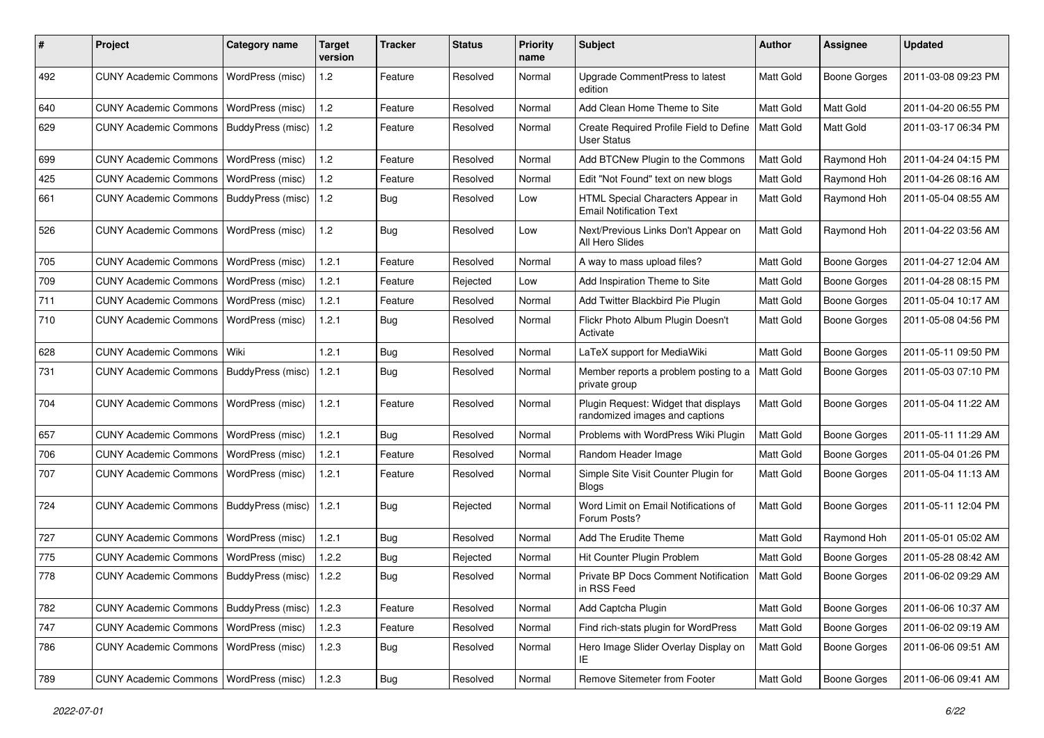| #   | Project                      | Category name     | <b>Target</b><br>version | <b>Tracker</b> | <b>Status</b> | <b>Priority</b><br>name | Subject                                                                | Author           | <b>Assignee</b>     | <b>Updated</b>      |
|-----|------------------------------|-------------------|--------------------------|----------------|---------------|-------------------------|------------------------------------------------------------------------|------------------|---------------------|---------------------|
| 492 | <b>CUNY Academic Commons</b> | WordPress (misc)  | 1.2                      | Feature        | Resolved      | Normal                  | Upgrade CommentPress to latest<br>edition                              | Matt Gold        | <b>Boone Gorges</b> | 2011-03-08 09:23 PM |
| 640 | <b>CUNY Academic Commons</b> | WordPress (misc)  | 1.2                      | Feature        | Resolved      | Normal                  | Add Clean Home Theme to Site                                           | Matt Gold        | Matt Gold           | 2011-04-20 06:55 PM |
| 629 | <b>CUNY Academic Commons</b> | BuddyPress (misc) | 1.2                      | Feature        | Resolved      | Normal                  | Create Required Profile Field to Define<br><b>User Status</b>          | <b>Matt Gold</b> | Matt Gold           | 2011-03-17 06:34 PM |
| 699 | <b>CUNY Academic Commons</b> | WordPress (misc)  | 1.2                      | Feature        | Resolved      | Normal                  | Add BTCNew Plugin to the Commons                                       | Matt Gold        | Raymond Hoh         | 2011-04-24 04:15 PM |
| 425 | <b>CUNY Academic Commons</b> | WordPress (misc)  | $1.2$                    | Feature        | Resolved      | Normal                  | Edit "Not Found" text on new blogs                                     | Matt Gold        | Raymond Hoh         | 2011-04-26 08:16 AM |
| 661 | <b>CUNY Academic Commons</b> | BuddyPress (misc) | 1.2                      | Bug            | Resolved      | Low                     | HTML Special Characters Appear in<br><b>Email Notification Text</b>    | Matt Gold        | Raymond Hoh         | 2011-05-04 08:55 AM |
| 526 | <b>CUNY Academic Commons</b> | WordPress (misc)  | 1.2                      | Bug            | Resolved      | Low                     | Next/Previous Links Don't Appear on<br>All Hero Slides                 | Matt Gold        | Raymond Hoh         | 2011-04-22 03:56 AM |
| 705 | <b>CUNY Academic Commons</b> | WordPress (misc)  | 1.2.1                    | Feature        | Resolved      | Normal                  | A way to mass upload files?                                            | Matt Gold        | <b>Boone Gorges</b> | 2011-04-27 12:04 AM |
| 709 | <b>CUNY Academic Commons</b> | WordPress (misc)  | 1.2.1                    | Feature        | Rejected      | Low                     | Add Inspiration Theme to Site                                          | Matt Gold        | Boone Gorges        | 2011-04-28 08:15 PM |
| 711 | <b>CUNY Academic Commons</b> | WordPress (misc)  | 1.2.1                    | Feature        | Resolved      | Normal                  | Add Twitter Blackbird Pie Plugin                                       | Matt Gold        | <b>Boone Gorges</b> | 2011-05-04 10:17 AM |
| 710 | <b>CUNY Academic Commons</b> | WordPress (misc)  | 1.2.1                    | <b>Bug</b>     | Resolved      | Normal                  | Flickr Photo Album Plugin Doesn't<br>Activate                          | Matt Gold        | Boone Gorges        | 2011-05-08 04:56 PM |
| 628 | <b>CUNY Academic Commons</b> | Wiki              | 1.2.1                    | Bug            | Resolved      | Normal                  | LaTeX support for MediaWiki                                            | Matt Gold        | <b>Boone Gorges</b> | 2011-05-11 09:50 PM |
| 731 | <b>CUNY Academic Commons</b> | BuddyPress (misc) | 1.2.1                    | Bug            | Resolved      | Normal                  | Member reports a problem posting to a<br>private group                 | Matt Gold        | Boone Gorges        | 2011-05-03 07:10 PM |
| 704 | <b>CUNY Academic Commons</b> | WordPress (misc)  | 1.2.1                    | Feature        | Resolved      | Normal                  | Plugin Request: Widget that displays<br>randomized images and captions | Matt Gold        | Boone Gorges        | 2011-05-04 11:22 AM |
| 657 | <b>CUNY Academic Commons</b> | WordPress (misc)  | 1.2.1                    | Bug            | Resolved      | Normal                  | Problems with WordPress Wiki Plugin                                    | Matt Gold        | <b>Boone Gorges</b> | 2011-05-11 11:29 AM |
| 706 | <b>CUNY Academic Commons</b> | WordPress (misc)  | 1.2.1                    | Feature        | Resolved      | Normal                  | Random Header Image                                                    | Matt Gold        | Boone Gorges        | 2011-05-04 01:26 PM |
| 707 | <b>CUNY Academic Commons</b> | WordPress (misc)  | 1.2.1                    | Feature        | Resolved      | Normal                  | Simple Site Visit Counter Plugin for<br><b>Blogs</b>                   | Matt Gold        | Boone Gorges        | 2011-05-04 11:13 AM |
| 724 | <b>CUNY Academic Commons</b> | BuddyPress (misc) | 1.2.1                    | Bug            | Rejected      | Normal                  | Word Limit on Email Notifications of<br>Forum Posts?                   | Matt Gold        | Boone Gorges        | 2011-05-11 12:04 PM |
| 727 | <b>CUNY Academic Commons</b> | WordPress (misc)  | 1.2.1                    | Bug            | Resolved      | Normal                  | Add The Erudite Theme                                                  | Matt Gold        | Raymond Hoh         | 2011-05-01 05:02 AM |
| 775 | <b>CUNY Academic Commons</b> | WordPress (misc)  | 1.2.2                    | Bug            | Rejected      | Normal                  | Hit Counter Plugin Problem                                             | Matt Gold        | <b>Boone Gorges</b> | 2011-05-28 08:42 AM |
| 778 | <b>CUNY Academic Commons</b> | BuddyPress (misc) | 1.2.2                    | Bug            | Resolved      | Normal                  | Private BP Docs Comment Notification<br>in RSS Feed                    | Matt Gold        | <b>Boone Gorges</b> | 2011-06-02 09:29 AM |
| 782 | <b>CUNY Academic Commons</b> | BuddyPress (misc) | 1.2.3                    | Feature        | Resolved      | Normal                  | Add Captcha Plugin                                                     | Matt Gold        | <b>Boone Gorges</b> | 2011-06-06 10:37 AM |
| 747 | <b>CUNY Academic Commons</b> | WordPress (misc)  | 1.2.3                    | Feature        | Resolved      | Normal                  | Find rich-stats plugin for WordPress                                   | Matt Gold        | <b>Boone Gorges</b> | 2011-06-02 09:19 AM |
| 786 | <b>CUNY Academic Commons</b> | WordPress (misc)  | 1.2.3                    | Bug            | Resolved      | Normal                  | Hero Image Slider Overlay Display on<br>IE                             | Matt Gold        | <b>Boone Gorges</b> | 2011-06-06 09:51 AM |
| 789 | <b>CUNY Academic Commons</b> | WordPress (misc)  | 1.2.3                    | <b>Bug</b>     | Resolved      | Normal                  | Remove Sitemeter from Footer                                           | Matt Gold        | <b>Boone Gorges</b> | 2011-06-06 09:41 AM |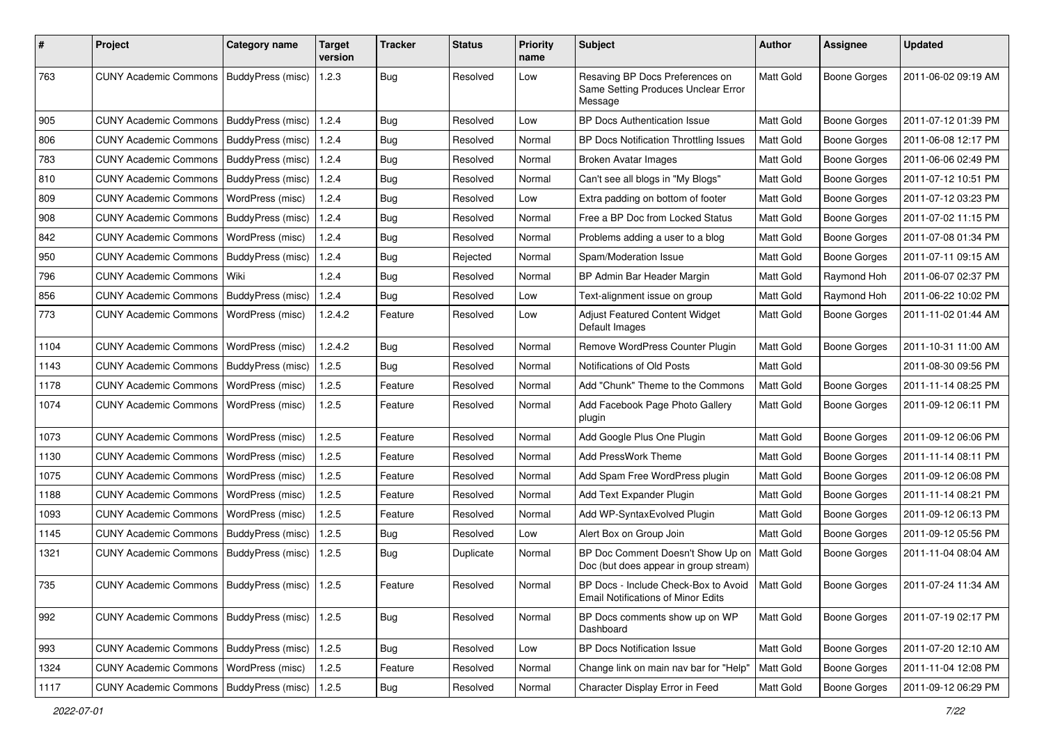| #    | Project                                           | Category name            | <b>Target</b><br>version | <b>Tracker</b> | <b>Status</b> | <b>Priority</b><br>name | Subject                                                                           | <b>Author</b>    | <b>Assignee</b>     | <b>Updated</b>      |
|------|---------------------------------------------------|--------------------------|--------------------------|----------------|---------------|-------------------------|-----------------------------------------------------------------------------------|------------------|---------------------|---------------------|
| 763  | <b>CUNY Academic Commons</b>                      | BuddyPress (misc)        | 1.2.3                    | <b>Bug</b>     | Resolved      | Low                     | Resaving BP Docs Preferences on<br>Same Setting Produces Unclear Error<br>Message | Matt Gold        | <b>Boone Gorges</b> | 2011-06-02 09:19 AM |
| 905  | <b>CUNY Academic Commons</b>                      | BuddyPress (misc)        | 1.2.4                    | Bug            | Resolved      | Low                     | <b>BP Docs Authentication Issue</b>                                               | Matt Gold        | <b>Boone Gorges</b> | 2011-07-12 01:39 PM |
| 806  | <b>CUNY Academic Commons</b>                      | BuddyPress (misc)        | 1.2.4                    | <b>Bug</b>     | Resolved      | Normal                  | BP Docs Notification Throttling Issues                                            | Matt Gold        | Boone Gorges        | 2011-06-08 12:17 PM |
| 783  | <b>CUNY Academic Commons</b>                      | BuddyPress (misc)        | 1.2.4                    | Bug            | Resolved      | Normal                  | Broken Avatar Images                                                              | Matt Gold        | <b>Boone Gorges</b> | 2011-06-06 02:49 PM |
| 810  | <b>CUNY Academic Commons</b>                      | BuddyPress (misc)        | 1.2.4                    | <b>Bug</b>     | Resolved      | Normal                  | Can't see all blogs in "My Blogs"                                                 | Matt Gold        | <b>Boone Gorges</b> | 2011-07-12 10:51 PM |
| 809  | <b>CUNY Academic Commons</b>                      | WordPress (misc)         | 1.2.4                    | <b>Bug</b>     | Resolved      | Low                     | Extra padding on bottom of footer                                                 | Matt Gold        | <b>Boone Gorges</b> | 2011-07-12 03:23 PM |
| 908  | <b>CUNY Academic Commons</b>                      | BuddyPress (misc)        | 1.2.4                    | <b>Bug</b>     | Resolved      | Normal                  | Free a BP Doc from Locked Status                                                  | Matt Gold        | <b>Boone Gorges</b> | 2011-07-02 11:15 PM |
| 842  | <b>CUNY Academic Commons</b>                      | WordPress (misc)         | 1.2.4                    | Bug            | Resolved      | Normal                  | Problems adding a user to a blog                                                  | Matt Gold        | Boone Gorges        | 2011-07-08 01:34 PM |
| 950  | <b>CUNY Academic Commons</b>                      | BuddyPress (misc)        | 1.2.4                    | Bug            | Rejected      | Normal                  | Spam/Moderation Issue                                                             | Matt Gold        | <b>Boone Gorges</b> | 2011-07-11 09:15 AM |
| 796  | <b>CUNY Academic Commons</b>                      | Wiki                     | 1.2.4                    | <b>Bug</b>     | Resolved      | Normal                  | BP Admin Bar Header Margin                                                        | Matt Gold        | Raymond Hoh         | 2011-06-07 02:37 PM |
| 856  | <b>CUNY Academic Commons</b>                      | <b>BuddyPress (misc)</b> | 1.2.4                    | Bug            | Resolved      | Low                     | Text-alignment issue on group                                                     | Matt Gold        | Raymond Hoh         | 2011-06-22 10:02 PM |
| 773  | <b>CUNY Academic Commons</b>                      | <b>WordPress (misc)</b>  | 1.2.4.2                  | Feature        | Resolved      | Low                     | Adjust Featured Content Widget<br>Default Images                                  | Matt Gold        | <b>Boone Gorges</b> | 2011-11-02 01:44 AM |
| 1104 | <b>CUNY Academic Commons</b>                      | WordPress (misc)         | 1.2.4.2                  | <b>Bug</b>     | Resolved      | Normal                  | Remove WordPress Counter Plugin                                                   | Matt Gold        | <b>Boone Gorges</b> | 2011-10-31 11:00 AM |
| 1143 | <b>CUNY Academic Commons</b>                      | BuddyPress (misc)        | 1.2.5                    | Bug            | Resolved      | Normal                  | Notifications of Old Posts                                                        | Matt Gold        |                     | 2011-08-30 09:56 PM |
| 1178 | <b>CUNY Academic Commons</b>                      | WordPress (misc)         | 1.2.5                    | Feature        | Resolved      | Normal                  | Add "Chunk" Theme to the Commons                                                  | Matt Gold        | <b>Boone Gorges</b> | 2011-11-14 08:25 PM |
| 1074 | <b>CUNY Academic Commons</b>                      | WordPress (misc)         | 1.2.5                    | Feature        | Resolved      | Normal                  | Add Facebook Page Photo Gallery<br>plugin                                         | Matt Gold        | <b>Boone Gorges</b> | 2011-09-12 06:11 PM |
| 1073 | <b>CUNY Academic Commons</b>                      | WordPress (misc)         | 1.2.5                    | Feature        | Resolved      | Normal                  | Add Google Plus One Plugin                                                        | Matt Gold        | <b>Boone Gorges</b> | 2011-09-12 06:06 PM |
| 1130 | <b>CUNY Academic Commons</b>                      | WordPress (misc)         | 1.2.5                    | Feature        | Resolved      | Normal                  | Add PressWork Theme                                                               | Matt Gold        | <b>Boone Gorges</b> | 2011-11-14 08:11 PM |
| 1075 | <b>CUNY Academic Commons</b>                      | WordPress (misc)         | 1.2.5                    | Feature        | Resolved      | Normal                  | Add Spam Free WordPress plugin                                                    | Matt Gold        | <b>Boone Gorges</b> | 2011-09-12 06:08 PM |
| 1188 | <b>CUNY Academic Commons</b>                      | WordPress (misc)         | 1.2.5                    | Feature        | Resolved      | Normal                  | Add Text Expander Plugin                                                          | Matt Gold        | <b>Boone Gorges</b> | 2011-11-14 08:21 PM |
| 1093 | <b>CUNY Academic Commons</b>                      | WordPress (misc)         | 1.2.5                    | Feature        | Resolved      | Normal                  | Add WP-SyntaxEvolved Plugin                                                       | Matt Gold        | <b>Boone Gorges</b> | 2011-09-12 06:13 PM |
| 1145 | <b>CUNY Academic Commons</b>                      | BuddyPress (misc)        | 1.2.5                    | Bug            | Resolved      | Low                     | Alert Box on Group Join                                                           | Matt Gold        | <b>Boone Gorges</b> | 2011-09-12 05:56 PM |
| 1321 | <b>CUNY Academic Commons</b>                      | BuddyPress (misc)        | 1.2.5                    | Bug            | Duplicate     | Normal                  | BP Doc Comment Doesn't Show Up on<br>Doc (but does appear in group stream)        | Matt Gold        | Boone Gorges        | 2011-11-04 08:04 AM |
| 735  | CUNY Academic Commons   BuddyPress (misc)   1.2.5 |                          |                          | Feature        | Resolved      | Normal                  | BP Docs - Include Check-Box to Avoid<br><b>Email Notifications of Minor Edits</b> | <b>Matt Gold</b> | <b>Boone Gorges</b> | 2011-07-24 11:34 AM |
| 992  | <b>CUNY Academic Commons</b>                      | BuddyPress (misc)        | 1.2.5                    | <b>Bug</b>     | Resolved      | Normal                  | BP Docs comments show up on WP<br>Dashboard                                       | Matt Gold        | <b>Boone Gorges</b> | 2011-07-19 02:17 PM |
| 993  | <b>CUNY Academic Commons</b>                      | BuddyPress (misc)        | 1.2.5                    | <b>Bug</b>     | Resolved      | Low                     | BP Docs Notification Issue                                                        | Matt Gold        | <b>Boone Gorges</b> | 2011-07-20 12:10 AM |
| 1324 | <b>CUNY Academic Commons</b>                      | WordPress (misc)         | 1.2.5                    | Feature        | Resolved      | Normal                  | Change link on main nav bar for "Help"                                            | Matt Gold        | <b>Boone Gorges</b> | 2011-11-04 12:08 PM |
| 1117 | CUNY Academic Commons   BuddyPress (misc)         |                          | 1.2.5                    | <b>Bug</b>     | Resolved      | Normal                  | Character Display Error in Feed                                                   | Matt Gold        | Boone Gorges        | 2011-09-12 06:29 PM |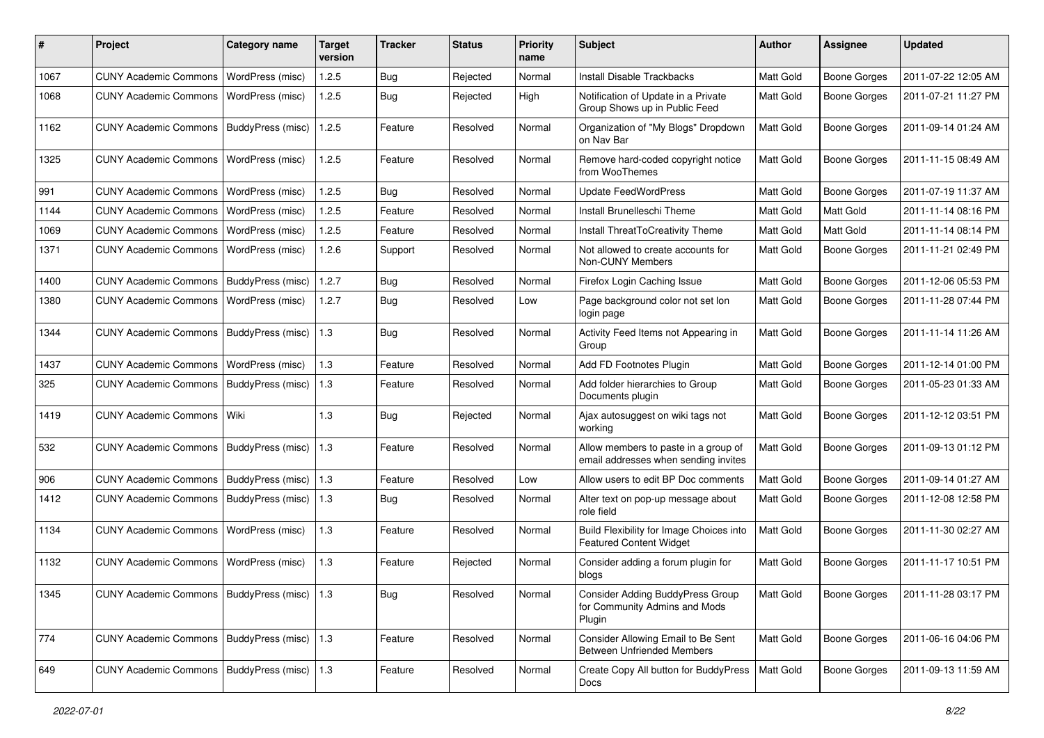| #    | Project                                         | <b>Category name</b> | <b>Target</b><br>version | <b>Tracker</b> | <b>Status</b> | Priority<br>name | <b>Subject</b>                                                               | <b>Author</b>    | <b>Assignee</b>     | <b>Updated</b>      |
|------|-------------------------------------------------|----------------------|--------------------------|----------------|---------------|------------------|------------------------------------------------------------------------------|------------------|---------------------|---------------------|
| 1067 | <b>CUNY Academic Commons</b>                    | WordPress (misc)     | 1.2.5                    | <b>Bug</b>     | Rejected      | Normal           | <b>Install Disable Trackbacks</b>                                            | Matt Gold        | <b>Boone Gorges</b> | 2011-07-22 12:05 AM |
| 1068 | <b>CUNY Academic Commons</b>                    | WordPress (misc)     | 1.2.5                    | Bug            | Rejected      | High             | Notification of Update in a Private<br>Group Shows up in Public Feed         | Matt Gold        | <b>Boone Gorges</b> | 2011-07-21 11:27 PM |
| 1162 | <b>CUNY Academic Commons</b>                    | BuddyPress (misc)    | 1.2.5                    | Feature        | Resolved      | Normal           | Organization of "My Blogs" Dropdown<br>on Nav Bar                            | Matt Gold        | <b>Boone Gorges</b> | 2011-09-14 01:24 AM |
| 1325 | <b>CUNY Academic Commons</b>                    | WordPress (misc)     | 1.2.5                    | Feature        | Resolved      | Normal           | Remove hard-coded copyright notice<br>from WooThemes                         | Matt Gold        | <b>Boone Gorges</b> | 2011-11-15 08:49 AM |
| 991  | <b>CUNY Academic Commons</b>                    | WordPress (misc)     | 1.2.5                    | <b>Bug</b>     | Resolved      | Normal           | Update FeedWordPress                                                         | Matt Gold        | <b>Boone Gorges</b> | 2011-07-19 11:37 AM |
| 1144 | <b>CUNY Academic Commons</b>                    | WordPress (misc)     | 1.2.5                    | Feature        | Resolved      | Normal           | Install Brunelleschi Theme                                                   | Matt Gold        | Matt Gold           | 2011-11-14 08:16 PM |
| 1069 | <b>CUNY Academic Commons</b>                    | WordPress (misc)     | 1.2.5                    | Feature        | Resolved      | Normal           | Install ThreatToCreativity Theme                                             | Matt Gold        | <b>Matt Gold</b>    | 2011-11-14 08:14 PM |
| 1371 | <b>CUNY Academic Commons</b>                    | WordPress (misc)     | 1.2.6                    | Support        | Resolved      | Normal           | Not allowed to create accounts for<br>Non-CUNY Members                       | Matt Gold        | <b>Boone Gorges</b> | 2011-11-21 02:49 PM |
| 1400 | <b>CUNY Academic Commons</b>                    | BuddyPress (misc)    | 1.2.7                    | <b>Bug</b>     | Resolved      | Normal           | Firefox Login Caching Issue                                                  | Matt Gold        | <b>Boone Gorges</b> | 2011-12-06 05:53 PM |
| 1380 | <b>CUNY Academic Commons</b>                    | WordPress (misc)     | 1.2.7                    | Bug            | Resolved      | Low              | Page background color not set lon<br>login page                              | Matt Gold        | <b>Boone Gorges</b> | 2011-11-28 07:44 PM |
| 1344 | <b>CUNY Academic Commons</b>                    | BuddyPress (misc)    | 1.3                      | Bug            | Resolved      | Normal           | Activity Feed Items not Appearing in<br>Group                                | Matt Gold        | <b>Boone Gorges</b> | 2011-11-14 11:26 AM |
| 1437 | <b>CUNY Academic Commons</b>                    | WordPress (misc)     | 1.3                      | Feature        | Resolved      | Normal           | Add FD Footnotes Plugin                                                      | Matt Gold        | <b>Boone Gorges</b> | 2011-12-14 01:00 PM |
| 325  | <b>CUNY Academic Commons</b>                    | BuddyPress (misc)    | 1.3                      | Feature        | Resolved      | Normal           | Add folder hierarchies to Group<br>Documents plugin                          | Matt Gold        | <b>Boone Gorges</b> | 2011-05-23 01:33 AM |
| 1419 | <b>CUNY Academic Commons</b>                    | Wiki                 | 1.3                      | Bug            | Rejected      | Normal           | Ajax autosuggest on wiki tags not<br>workina                                 | Matt Gold        | Boone Gorges        | 2011-12-12 03:51 PM |
| 532  | <b>CUNY Academic Commons</b>                    | BuddyPress (misc)    | 1.3                      | Feature        | Resolved      | Normal           | Allow members to paste in a group of<br>email addresses when sending invites | Matt Gold        | Boone Gorges        | 2011-09-13 01:12 PM |
| 906  | <b>CUNY Academic Commons</b>                    | BuddyPress (misc)    | 1.3                      | Feature        | Resolved      | Low              | Allow users to edit BP Doc comments                                          | Matt Gold        | <b>Boone Gorges</b> | 2011-09-14 01:27 AM |
| 1412 | <b>CUNY Academic Commons</b>                    | BuddyPress (misc)    | 1.3                      | <b>Bug</b>     | Resolved      | Normal           | Alter text on pop-up message about<br>role field                             | Matt Gold        | <b>Boone Gorges</b> | 2011-12-08 12:58 PM |
| 1134 | <b>CUNY Academic Commons</b>                    | WordPress (misc)     | 1.3                      | Feature        | Resolved      | Normal           | Build Flexibility for Image Choices into<br><b>Featured Content Widget</b>   | Matt Gold        | Boone Gorges        | 2011-11-30 02:27 AM |
| 1132 | <b>CUNY Academic Commons</b>                    | WordPress (misc)     | 1.3                      | Feature        | Rejected      | Normal           | Consider adding a forum plugin for<br>blogs                                  | Matt Gold        | Boone Gorges        | 2011-11-17 10:51 PM |
| 1345 | CUNY Academic Commons   BuddyPress (misc)   1.3 |                      |                          | Bug            | Resolved      | Normal           | Consider Adding BuddyPress Group<br>for Community Admins and Mods<br>Plugin  | <b>Matt Gold</b> | Boone Gorges        | 2011-11-28 03:17 PM |
| 774  | <b>CUNY Academic Commons</b>                    | BuddyPress (misc)    | 1.3                      | Feature        | Resolved      | Normal           | Consider Allowing Email to Be Sent<br><b>Between Unfriended Members</b>      | Matt Gold        | <b>Boone Gorges</b> | 2011-06-16 04:06 PM |
| 649  | CUNY Academic Commons   BuddyPress (misc)   1.3 |                      |                          | Feature        | Resolved      | Normal           | Create Copy All button for BuddyPress<br>Docs                                | Matt Gold        | Boone Gorges        | 2011-09-13 11:59 AM |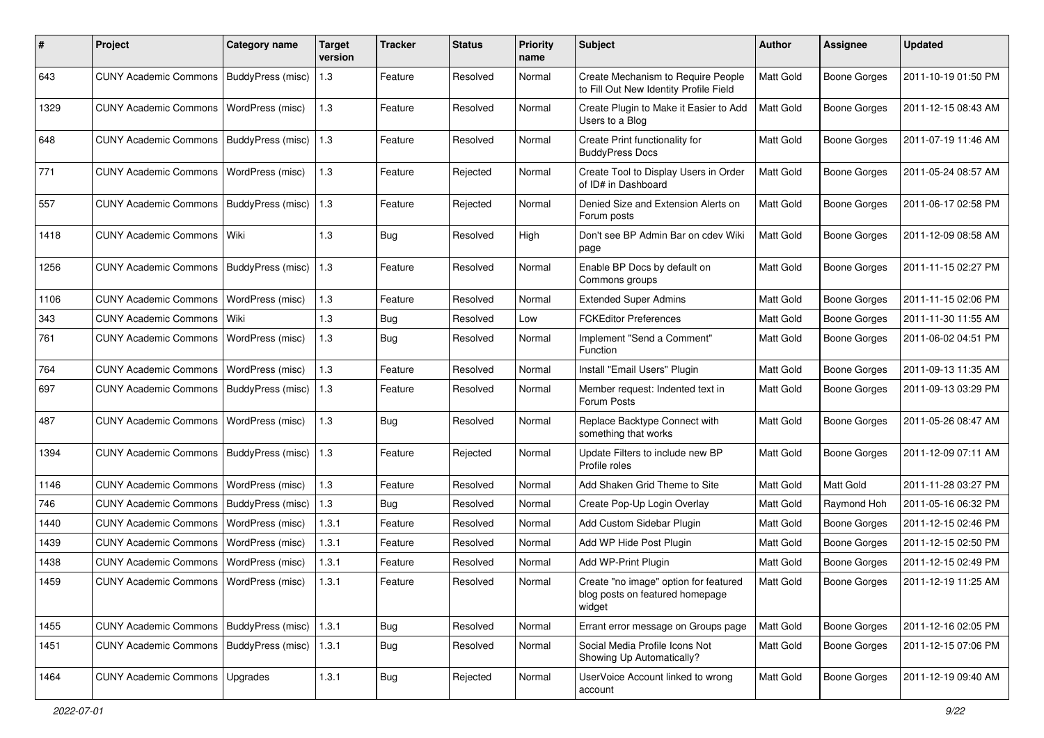| ∦    | Project                                  | <b>Category name</b>    | <b>Target</b><br>version | <b>Tracker</b> | <b>Status</b> | <b>Priority</b><br>name | Subject                                                                            | Author    | <b>Assignee</b>     | <b>Updated</b>      |
|------|------------------------------------------|-------------------------|--------------------------|----------------|---------------|-------------------------|------------------------------------------------------------------------------------|-----------|---------------------|---------------------|
| 643  | <b>CUNY Academic Commons</b>             | BuddyPress (misc)       | 1.3                      | Feature        | Resolved      | Normal                  | Create Mechanism to Require People<br>to Fill Out New Identity Profile Field       | Matt Gold | <b>Boone Gorges</b> | 2011-10-19 01:50 PM |
| 1329 | <b>CUNY Academic Commons</b>             | WordPress (misc)        | 1.3                      | Feature        | Resolved      | Normal                  | Create Plugin to Make it Easier to Add<br>Users to a Blog                          | Matt Gold | Boone Gorges        | 2011-12-15 08:43 AM |
| 648  | <b>CUNY Academic Commons</b>             | BuddyPress (misc)       | 1.3                      | Feature        | Resolved      | Normal                  | Create Print functionality for<br><b>BuddyPress Docs</b>                           | Matt Gold | <b>Boone Gorges</b> | 2011-07-19 11:46 AM |
| 771  | <b>CUNY Academic Commons</b>             | <b>WordPress (misc)</b> | 1.3                      | Feature        | Rejected      | Normal                  | Create Tool to Display Users in Order<br>of ID# in Dashboard                       | Matt Gold | <b>Boone Gorges</b> | 2011-05-24 08:57 AM |
| 557  | <b>CUNY Academic Commons</b>             | BuddyPress (misc)       | 1.3                      | Feature        | Rejected      | Normal                  | Denied Size and Extension Alerts on<br>Forum posts                                 | Matt Gold | <b>Boone Gorges</b> | 2011-06-17 02:58 PM |
| 1418 | CUNY Academic Commons   Wiki             |                         | 1.3                      | Bug            | Resolved      | High                    | Don't see BP Admin Bar on cdev Wiki<br>page                                        | Matt Gold | <b>Boone Gorges</b> | 2011-12-09 08:58 AM |
| 1256 | <b>CUNY Academic Commons</b>             | BuddyPress (misc)       | 1.3                      | Feature        | Resolved      | Normal                  | Enable BP Docs by default on<br>Commons groups                                     | Matt Gold | Boone Gorges        | 2011-11-15 02:27 PM |
| 1106 | <b>CUNY Academic Commons</b>             | WordPress (misc)        | 1.3                      | Feature        | Resolved      | Normal                  | <b>Extended Super Admins</b>                                                       | Matt Gold | <b>Boone Gorges</b> | 2011-11-15 02:06 PM |
| 343  | <b>CUNY Academic Commons</b>             | Wiki                    | $1.3$                    | Bug            | Resolved      | Low                     | <b>FCKEditor Preferences</b>                                                       | Matt Gold | Boone Gorges        | 2011-11-30 11:55 AM |
| 761  | <b>CUNY Academic Commons</b>             | WordPress (misc)        | $1.3$                    | Bug            | Resolved      | Normal                  | Implement "Send a Comment"<br>Function                                             | Matt Gold | Boone Gorges        | 2011-06-02 04:51 PM |
| 764  | <b>CUNY Academic Commons</b>             | WordPress (misc)        | 1.3                      | Feature        | Resolved      | Normal                  | Install "Email Users" Plugin                                                       | Matt Gold | <b>Boone Gorges</b> | 2011-09-13 11:35 AM |
| 697  | <b>CUNY Academic Commons</b>             | BuddyPress (misc)       | 1.3                      | Feature        | Resolved      | Normal                  | Member request: Indented text in<br>Forum Posts                                    | Matt Gold | Boone Gorges        | 2011-09-13 03:29 PM |
| 487  | <b>CUNY Academic Commons</b>             | WordPress (misc)        | 1.3                      | Bug            | Resolved      | Normal                  | Replace Backtype Connect with<br>something that works                              | Matt Gold | Boone Gorges        | 2011-05-26 08:47 AM |
| 1394 | <b>CUNY Academic Commons</b>             | BuddyPress (misc)       | 1.3                      | Feature        | Rejected      | Normal                  | Update Filters to include new BP<br>Profile roles                                  | Matt Gold | Boone Gorges        | 2011-12-09 07:11 AM |
| 1146 | <b>CUNY Academic Commons</b>             | WordPress (misc)        | 1.3                      | Feature        | Resolved      | Normal                  | Add Shaken Grid Theme to Site                                                      | Matt Gold | Matt Gold           | 2011-11-28 03:27 PM |
| 746  | <b>CUNY Academic Commons</b>             | BuddyPress (misc)       | 1.3                      | Bug            | Resolved      | Normal                  | Create Pop-Up Login Overlay                                                        | Matt Gold | Raymond Hoh         | 2011-05-16 06:32 PM |
| 1440 | <b>CUNY Academic Commons</b>             | WordPress (misc)        | 1.3.1                    | Feature        | Resolved      | Normal                  | Add Custom Sidebar Plugin                                                          | Matt Gold | Boone Gorges        | 2011-12-15 02:46 PM |
| 1439 | <b>CUNY Academic Commons</b>             | WordPress (misc)        | 1.3.1                    | Feature        | Resolved      | Normal                  | Add WP Hide Post Plugin                                                            | Matt Gold | <b>Boone Gorges</b> | 2011-12-15 02:50 PM |
| 1438 | <b>CUNY Academic Commons</b>             | WordPress (misc)        | 1.3.1                    | Feature        | Resolved      | Normal                  | Add WP-Print Plugin                                                                | Matt Gold | <b>Boone Gorges</b> | 2011-12-15 02:49 PM |
| 1459 | CUNY Academic Commons   WordPress (misc) |                         | 1.3.1                    | Feature        | Resolved      | Normal                  | Create "no image" option for featured<br>blog posts on featured homepage<br>widget | Matt Gold | <b>Boone Gorges</b> | 2011-12-19 11:25 AM |
| 1455 | <b>CUNY Academic Commons</b>             | BuddyPress (misc)       | 1.3.1                    | Bug            | Resolved      | Normal                  | Errant error message on Groups page                                                | Matt Gold | <b>Boone Gorges</b> | 2011-12-16 02:05 PM |
| 1451 | <b>CUNY Academic Commons</b>             | BuddyPress (misc)       | 1.3.1                    | Bug            | Resolved      | Normal                  | Social Media Profile Icons Not<br>Showing Up Automatically?                        | Matt Gold | <b>Boone Gorges</b> | 2011-12-15 07:06 PM |
| 1464 | CUNY Academic Commons   Upgrades         |                         | 1.3.1                    | Bug            | Rejected      | Normal                  | UserVoice Account linked to wrong<br>account                                       | Matt Gold | Boone Gorges        | 2011-12-19 09:40 AM |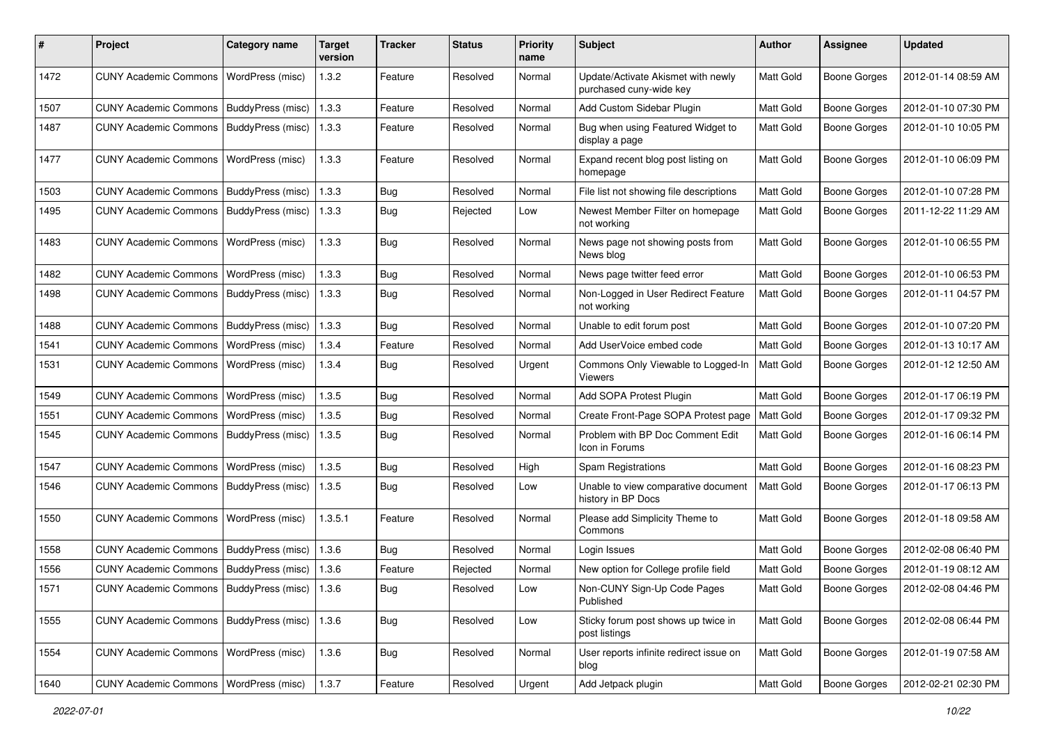| #    | Project                                           | <b>Category name</b> | <b>Target</b><br>version | <b>Tracker</b> | <b>Status</b> | Priority<br>name | Subject                                                       | <b>Author</b>    | Assignee            | <b>Updated</b>      |
|------|---------------------------------------------------|----------------------|--------------------------|----------------|---------------|------------------|---------------------------------------------------------------|------------------|---------------------|---------------------|
| 1472 | <b>CUNY Academic Commons</b>                      | WordPress (misc)     | 1.3.2                    | Feature        | Resolved      | Normal           | Update/Activate Akismet with newly<br>purchased cuny-wide key | <b>Matt Gold</b> | <b>Boone Gorges</b> | 2012-01-14 08:59 AM |
| 1507 | <b>CUNY Academic Commons</b>                      | BuddyPress (misc)    | 1.3.3                    | Feature        | Resolved      | Normal           | Add Custom Sidebar Plugin                                     | Matt Gold        | <b>Boone Gorges</b> | 2012-01-10 07:30 PM |
| 1487 | CUNY Academic Commons   BuddyPress (misc)         |                      | 1.3.3                    | Feature        | Resolved      | Normal           | Bug when using Featured Widget to<br>display a page           | Matt Gold        | Boone Gorges        | 2012-01-10 10:05 PM |
| 1477 | <b>CUNY Academic Commons</b>                      | WordPress (misc)     | 1.3.3                    | Feature        | Resolved      | Normal           | Expand recent blog post listing on<br>homepage                | Matt Gold        | <b>Boone Gorges</b> | 2012-01-10 06:09 PM |
| 1503 | <b>CUNY Academic Commons</b>                      | BuddyPress (misc)    | 1.3.3                    | Bug            | Resolved      | Normal           | File list not showing file descriptions                       | Matt Gold        | Boone Gorges        | 2012-01-10 07:28 PM |
| 1495 | <b>CUNY Academic Commons</b>                      | BuddyPress (misc)    | 1.3.3                    | Bug            | Rejected      | Low              | Newest Member Filter on homepage<br>not working               | Matt Gold        | Boone Gorges        | 2011-12-22 11:29 AM |
| 1483 | <b>CUNY Academic Commons</b>                      | WordPress (misc)     | 1.3.3                    | Bug            | Resolved      | Normal           | News page not showing posts from<br>News blog                 | Matt Gold        | Boone Gorges        | 2012-01-10 06:55 PM |
| 1482 | <b>CUNY Academic Commons</b>                      | WordPress (misc)     | 1.3.3                    | Bug            | Resolved      | Normal           | News page twitter feed error                                  | Matt Gold        | <b>Boone Gorges</b> | 2012-01-10 06:53 PM |
| 1498 | <b>CUNY Academic Commons</b>                      | BuddyPress (misc)    | 1.3.3                    | Bug            | Resolved      | Normal           | Non-Logged in User Redirect Feature<br>not working            | <b>Matt Gold</b> | Boone Gorges        | 2012-01-11 04:57 PM |
| 1488 | <b>CUNY Academic Commons</b>                      | BuddyPress (misc)    | 1.3.3                    | Bug            | Resolved      | Normal           | Unable to edit forum post                                     | Matt Gold        | <b>Boone Gorges</b> | 2012-01-10 07:20 PM |
| 1541 | <b>CUNY Academic Commons</b>                      | WordPress (misc)     | 1.3.4                    | Feature        | Resolved      | Normal           | Add UserVoice embed code                                      | Matt Gold        | <b>Boone Gorges</b> | 2012-01-13 10:17 AM |
| 1531 | <b>CUNY Academic Commons</b>                      | WordPress (misc)     | 1.3.4                    | Bug            | Resolved      | Urgent           | Commons Only Viewable to Logged-In<br>Viewers                 | Matt Gold        | <b>Boone Gorges</b> | 2012-01-12 12:50 AM |
| 1549 | <b>CUNY Academic Commons</b>                      | WordPress (misc)     | 1.3.5                    | Bug            | Resolved      | Normal           | Add SOPA Protest Plugin                                       | <b>Matt Gold</b> | <b>Boone Gorges</b> | 2012-01-17 06:19 PM |
| 1551 | <b>CUNY Academic Commons</b>                      | WordPress (misc)     | 1.3.5                    | Bug            | Resolved      | Normal           | Create Front-Page SOPA Protest page                           | Matt Gold        | Boone Gorges        | 2012-01-17 09:32 PM |
| 1545 | <b>CUNY Academic Commons</b>                      | BuddyPress (misc)    | 1.3.5                    | <b>Bug</b>     | Resolved      | Normal           | Problem with BP Doc Comment Edit<br>Icon in Forums            | Matt Gold        | Boone Gorges        | 2012-01-16 06:14 PM |
| 1547 | <b>CUNY Academic Commons</b>                      | WordPress (misc)     | 1.3.5                    | Bug            | Resolved      | High             | <b>Spam Registrations</b>                                     | Matt Gold        | Boone Gorges        | 2012-01-16 08:23 PM |
| 1546 | <b>CUNY Academic Commons</b>                      | BuddyPress (misc)    | 1.3.5                    | <b>Bug</b>     | Resolved      | Low              | Unable to view comparative document<br>history in BP Docs     | <b>Matt Gold</b> | <b>Boone Gorges</b> | 2012-01-17 06:13 PM |
| 1550 | <b>CUNY Academic Commons</b>                      | WordPress (misc)     | 1.3.5.1                  | Feature        | Resolved      | Normal           | Please add Simplicity Theme to<br>Commons                     | Matt Gold        | Boone Gorges        | 2012-01-18 09:58 AM |
| 1558 | CUNY Academic Commons   BuddyPress (misc)         |                      | 1.3.6                    | <b>Bug</b>     | Resolved      | Normal           | Login Issues                                                  | Matt Gold        | Boone Gorges        | 2012-02-08 06:40 PM |
| 1556 | CUNY Academic Commons   BuddyPress (misc)         |                      | 1.3.6                    | Feature        | Rejected      | Normal           | New option for College profile field                          | Matt Gold        | Boone Gorges        | 2012-01-19 08:12 AM |
| 1571 | CUNY Academic Commons   BuddyPress (misc)   1.3.6 |                      |                          | Bug            | Resolved      | Low              | Non-CUNY Sign-Up Code Pages<br>Published                      | Matt Gold        | Boone Gorges        | 2012-02-08 04:46 PM |
| 1555 | CUNY Academic Commons   BuddyPress (misc)         |                      | 1.3.6                    | Bug            | Resolved      | Low              | Sticky forum post shows up twice in<br>post listings          | Matt Gold        | <b>Boone Gorges</b> | 2012-02-08 06:44 PM |
| 1554 | CUNY Academic Commons                             | WordPress (misc)     | 1.3.6                    | Bug            | Resolved      | Normal           | User reports infinite redirect issue on<br>blog               | Matt Gold        | <b>Boone Gorges</b> | 2012-01-19 07:58 AM |
| 1640 | CUNY Academic Commons   WordPress (misc)          |                      | 1.3.7                    | Feature        | Resolved      | Urgent           | Add Jetpack plugin                                            | Matt Gold        | Boone Gorges        | 2012-02-21 02:30 PM |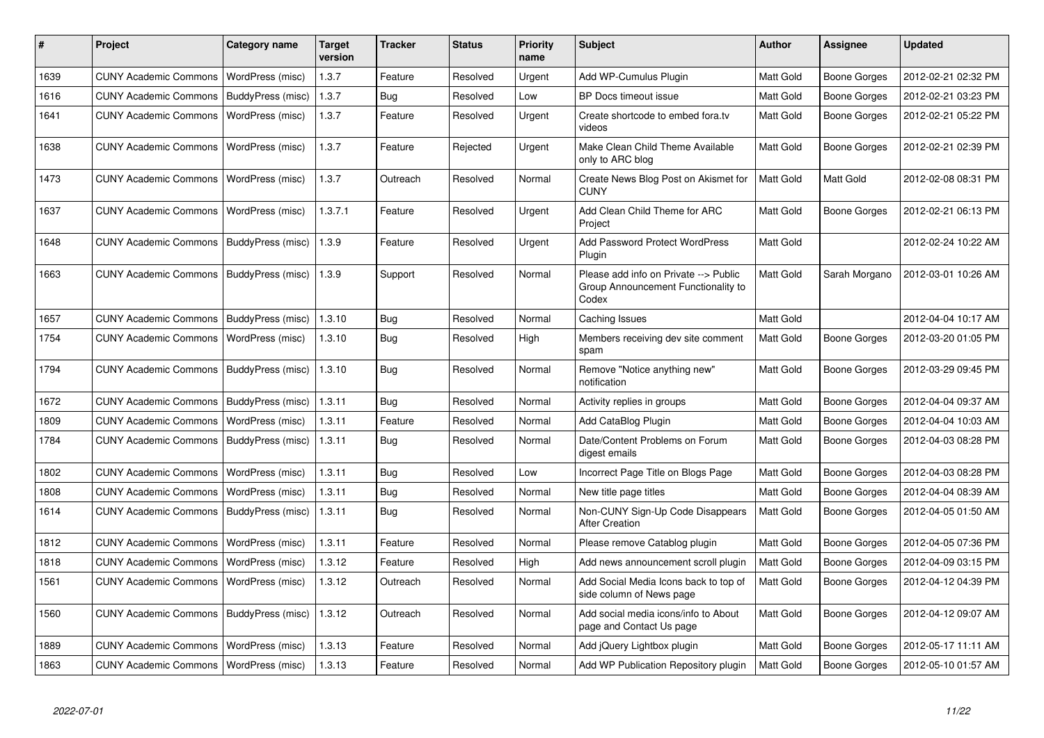| #    | Project                      | Category name     | <b>Target</b><br>version | <b>Tracker</b> | <b>Status</b> | Priority<br>name | <b>Subject</b>                                                                        | <b>Author</b>    | <b>Assignee</b>     | <b>Updated</b>      |
|------|------------------------------|-------------------|--------------------------|----------------|---------------|------------------|---------------------------------------------------------------------------------------|------------------|---------------------|---------------------|
| 1639 | <b>CUNY Academic Commons</b> | WordPress (misc)  | 1.3.7                    | Feature        | Resolved      | Urgent           | Add WP-Cumulus Plugin                                                                 | <b>Matt Gold</b> | <b>Boone Gorges</b> | 2012-02-21 02:32 PM |
| 1616 | <b>CUNY Academic Commons</b> | BuddyPress (misc) | 1.3.7                    | Bug            | Resolved      | Low              | BP Docs timeout issue                                                                 | Matt Gold        | <b>Boone Gorges</b> | 2012-02-21 03:23 PM |
| 1641 | <b>CUNY Academic Commons</b> | WordPress (misc)  | 1.3.7                    | Feature        | Resolved      | Urgent           | Create shortcode to embed fora.tv<br>videos                                           | <b>Matt Gold</b> | Boone Gorges        | 2012-02-21 05:22 PM |
| 1638 | <b>CUNY Academic Commons</b> | WordPress (misc)  | 1.3.7                    | Feature        | Rejected      | Urgent           | Make Clean Child Theme Available<br>only to ARC blog                                  | <b>Matt Gold</b> | Boone Gorges        | 2012-02-21 02:39 PM |
| 1473 | <b>CUNY Academic Commons</b> | WordPress (misc)  | 1.3.7                    | Outreach       | Resolved      | Normal           | Create News Blog Post on Akismet for<br><b>CUNY</b>                                   | <b>Matt Gold</b> | Matt Gold           | 2012-02-08 08:31 PM |
| 1637 | <b>CUNY Academic Commons</b> | WordPress (misc)  | 1.3.7.1                  | Feature        | Resolved      | Urgent           | Add Clean Child Theme for ARC<br>Project                                              | <b>Matt Gold</b> | Boone Gorges        | 2012-02-21 06:13 PM |
| 1648 | <b>CUNY Academic Commons</b> | BuddyPress (misc) | 1.3.9                    | Feature        | Resolved      | Urgent           | <b>Add Password Protect WordPress</b><br>Plugin                                       | Matt Gold        |                     | 2012-02-24 10:22 AM |
| 1663 | <b>CUNY Academic Commons</b> | BuddyPress (misc) | 1.3.9                    | Support        | Resolved      | Normal           | Please add info on Private --> Public<br>Group Announcement Functionality to<br>Codex | <b>Matt Gold</b> | Sarah Morgano       | 2012-03-01 10:26 AM |
| 1657 | <b>CUNY Academic Commons</b> | BuddyPress (misc) | 1.3.10                   | Bug            | Resolved      | Normal           | Caching Issues                                                                        | Matt Gold        |                     | 2012-04-04 10:17 AM |
| 1754 | <b>CUNY Academic Commons</b> | WordPress (misc)  | 1.3.10                   | Bug            | Resolved      | High             | Members receiving dev site comment<br>spam                                            | <b>Matt Gold</b> | Boone Gorges        | 2012-03-20 01:05 PM |
| 1794 | <b>CUNY Academic Commons</b> | BuddyPress (misc) | 1.3.10                   | <b>Bug</b>     | Resolved      | Normal           | Remove "Notice anything new"<br>notification                                          | <b>Matt Gold</b> | Boone Gorges        | 2012-03-29 09:45 PM |
| 1672 | <b>CUNY Academic Commons</b> | BuddyPress (misc) | 1.3.11                   | <b>Bug</b>     | Resolved      | Normal           | Activity replies in groups                                                            | <b>Matt Gold</b> | Boone Gorges        | 2012-04-04 09:37 AM |
| 1809 | <b>CUNY Academic Commons</b> | WordPress (misc)  | 1.3.11                   | Feature        | Resolved      | Normal           | Add CataBlog Plugin                                                                   | Matt Gold        | Boone Gorges        | 2012-04-04 10:03 AM |
| 1784 | <b>CUNY Academic Commons</b> | BuddyPress (misc) | 1.3.11                   | <b>Bug</b>     | Resolved      | Normal           | Date/Content Problems on Forum<br>digest emails                                       | <b>Matt Gold</b> | Boone Gorges        | 2012-04-03 08:28 PM |
| 1802 | <b>CUNY Academic Commons</b> | WordPress (misc)  | 1.3.11                   | <b>Bug</b>     | Resolved      | Low              | Incorrect Page Title on Blogs Page                                                    | <b>Matt Gold</b> | Boone Gorges        | 2012-04-03 08:28 PM |
| 1808 | <b>CUNY Academic Commons</b> | WordPress (misc)  | 1.3.11                   | Bug            | Resolved      | Normal           | New title page titles                                                                 | <b>Matt Gold</b> | Boone Gorges        | 2012-04-04 08:39 AM |
| 1614 | <b>CUNY Academic Commons</b> | BuddyPress (misc) | 1.3.11                   | <b>Bug</b>     | Resolved      | Normal           | Non-CUNY Sign-Up Code Disappears<br><b>After Creation</b>                             | <b>Matt Gold</b> | Boone Gorges        | 2012-04-05 01:50 AM |
| 1812 | <b>CUNY Academic Commons</b> | WordPress (misc)  | 1.3.11                   | Feature        | Resolved      | Normal           | Please remove Catablog plugin                                                         | Matt Gold        | Boone Gorges        | 2012-04-05 07:36 PM |
| 1818 | <b>CUNY Academic Commons</b> | WordPress (misc)  | 1.3.12                   | Feature        | Resolved      | High             | Add news announcement scroll plugin                                                   | Matt Gold        | Boone Gorges        | 2012-04-09 03:15 PM |
| 1561 | <b>CUNY Academic Commons</b> | WordPress (misc)  | 1.3.12                   | Outreach       | Resolved      | Normal           | Add Social Media Icons back to top of<br>side column of News page                     | <b>Matt Gold</b> | Boone Gorges        | 2012-04-12 04:39 PM |
| 1560 | <b>CUNY Academic Commons</b> | BuddyPress (misc) | 1.3.12                   | Outreach       | Resolved      | Normal           | Add social media icons/info to About<br>page and Contact Us page                      | Matt Gold        | Boone Gorges        | 2012-04-12 09:07 AM |
| 1889 | <b>CUNY Academic Commons</b> | WordPress (misc)  | 1.3.13                   | Feature        | Resolved      | Normal           | Add jQuery Lightbox plugin                                                            | Matt Gold        | Boone Gorges        | 2012-05-17 11:11 AM |
| 1863 | <b>CUNY Academic Commons</b> | WordPress (misc)  | 1.3.13                   | Feature        | Resolved      | Normal           | Add WP Publication Repository plugin                                                  | Matt Gold        | Boone Gorges        | 2012-05-10 01:57 AM |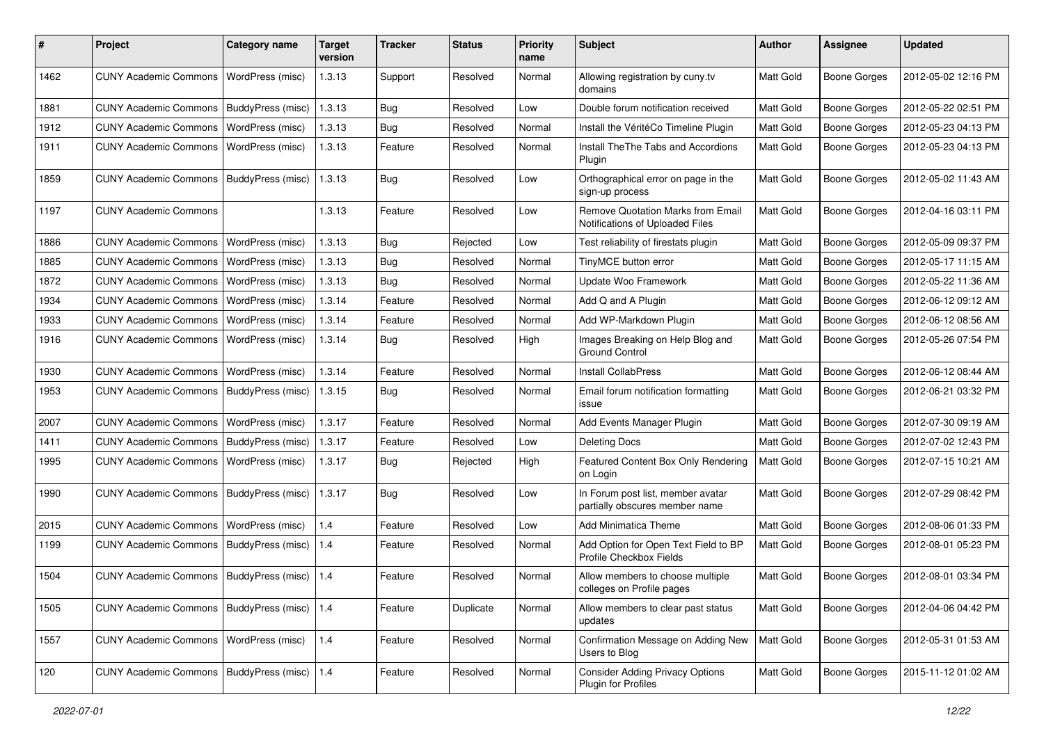| #    | Project                                         | <b>Category name</b> | <b>Target</b><br>version | <b>Tracker</b> | <b>Status</b> | <b>Priority</b><br>name | <b>Subject</b>                                                       | <b>Author</b> | <b>Assignee</b>     | <b>Updated</b>      |
|------|-------------------------------------------------|----------------------|--------------------------|----------------|---------------|-------------------------|----------------------------------------------------------------------|---------------|---------------------|---------------------|
| 1462 | <b>CUNY Academic Commons</b>                    | WordPress (misc)     | 1.3.13                   | Support        | Resolved      | Normal                  | Allowing registration by cuny.tv<br>domains                          | Matt Gold     | <b>Boone Gorges</b> | 2012-05-02 12:16 PM |
| 1881 | <b>CUNY Academic Commons</b>                    | BuddyPress (misc)    | 1.3.13                   | Bug            | Resolved      | Low                     | Double forum notification received                                   | Matt Gold     | <b>Boone Gorges</b> | 2012-05-22 02:51 PM |
| 1912 | <b>CUNY Academic Commons</b>                    | WordPress (misc)     | 1.3.13                   | Bug            | Resolved      | Normal                  | Install the VéritéCo Timeline Plugin                                 | Matt Gold     | <b>Boone Gorges</b> | 2012-05-23 04:13 PM |
| 1911 | <b>CUNY Academic Commons</b>                    | WordPress (misc)     | 1.3.13                   | Feature        | Resolved      | Normal                  | Install The The Tabs and Accordions<br>Plugin                        | Matt Gold     | Boone Gorges        | 2012-05-23 04:13 PM |
| 1859 | <b>CUNY Academic Commons</b>                    | BuddyPress (misc)    | 1.3.13                   | Bug            | Resolved      | Low                     | Orthographical error on page in the<br>sign-up process               | Matt Gold     | Boone Gorges        | 2012-05-02 11:43 AM |
| 1197 | <b>CUNY Academic Commons</b>                    |                      | 1.3.13                   | Feature        | Resolved      | Low                     | Remove Quotation Marks from Email<br>Notifications of Uploaded Files | Matt Gold     | Boone Gorges        | 2012-04-16 03:11 PM |
| 1886 | <b>CUNY Academic Commons</b>                    | WordPress (misc)     | 1.3.13                   | Bug            | Rejected      | Low                     | Test reliability of firestats plugin                                 | Matt Gold     | <b>Boone Gorges</b> | 2012-05-09 09:37 PM |
| 1885 | <b>CUNY Academic Commons</b>                    | WordPress (misc)     | 1.3.13                   | Bug            | Resolved      | Normal                  | TinyMCE button error                                                 | Matt Gold     | <b>Boone Gorges</b> | 2012-05-17 11:15 AM |
| 1872 | <b>CUNY Academic Commons</b>                    | WordPress (misc)     | 1.3.13                   | Bug            | Resolved      | Normal                  | Update Woo Framework                                                 | Matt Gold     | <b>Boone Gorges</b> | 2012-05-22 11:36 AM |
| 1934 | <b>CUNY Academic Commons</b>                    | WordPress (misc)     | 1.3.14                   | Feature        | Resolved      | Normal                  | Add Q and A Plugin                                                   | Matt Gold     | <b>Boone Gorges</b> | 2012-06-12 09:12 AM |
| 1933 | <b>CUNY Academic Commons</b>                    | WordPress (misc)     | 1.3.14                   | Feature        | Resolved      | Normal                  | Add WP-Markdown Plugin                                               | Matt Gold     | <b>Boone Gorges</b> | 2012-06-12 08:56 AM |
| 1916 | <b>CUNY Academic Commons</b>                    | WordPress (misc)     | 1.3.14                   | Bug            | Resolved      | High                    | Images Breaking on Help Blog and<br><b>Ground Control</b>            | Matt Gold     | <b>Boone Gorges</b> | 2012-05-26 07:54 PM |
| 1930 | <b>CUNY Academic Commons</b>                    | WordPress (misc)     | 1.3.14                   | Feature        | Resolved      | Normal                  | <b>Install CollabPress</b>                                           | Matt Gold     | <b>Boone Gorges</b> | 2012-06-12 08:44 AM |
| 1953 | <b>CUNY Academic Commons</b>                    | BuddyPress (misc)    | 1.3.15                   | Bug            | Resolved      | Normal                  | Email forum notification formatting<br>issue                         | Matt Gold     | <b>Boone Gorges</b> | 2012-06-21 03:32 PM |
| 2007 | <b>CUNY Academic Commons</b>                    | WordPress (misc)     | 1.3.17                   | Feature        | Resolved      | Normal                  | Add Events Manager Plugin                                            | Matt Gold     | <b>Boone Gorges</b> | 2012-07-30 09:19 AM |
| 1411 | <b>CUNY Academic Commons</b>                    | BuddyPress (misc)    | 1.3.17                   | Feature        | Resolved      | Low                     | <b>Deleting Docs</b>                                                 | Matt Gold     | <b>Boone Gorges</b> | 2012-07-02 12:43 PM |
| 1995 | <b>CUNY Academic Commons</b>                    | WordPress (misc)     | 1.3.17                   | Bug            | Rejected      | High                    | Featured Content Box Only Rendering<br>on Login                      | Matt Gold     | <b>Boone Gorges</b> | 2012-07-15 10:21 AM |
| 1990 | <b>CUNY Academic Commons</b>                    | BuddyPress (misc)    | 1.3.17                   | Bug            | Resolved      | Low                     | In Forum post list, member avatar<br>partially obscures member name  | Matt Gold     | Boone Gorges        | 2012-07-29 08:42 PM |
| 2015 | <b>CUNY Academic Commons</b>                    | WordPress (misc)     | 1.4                      | Feature        | Resolved      | Low                     | <b>Add Minimatica Theme</b>                                          | Matt Gold     | <b>Boone Gorges</b> | 2012-08-06 01:33 PM |
| 1199 | <b>CUNY Academic Commons</b>                    | BuddyPress (misc)    | 1.4                      | Feature        | Resolved      | Normal                  | Add Option for Open Text Field to BP<br>Profile Checkbox Fields      | Matt Gold     | <b>Boone Gorges</b> | 2012-08-01 05:23 PM |
| 1504 | CUNY Academic Commons   BuddyPress (misc)   1.4 |                      |                          | Feature        | Resolved      | Normal                  | Allow members to choose multiple<br>colleges on Profile pages        | Matt Gold     | Boone Gorges        | 2012-08-01 03:34 PM |
| 1505 | <b>CUNY Academic Commons</b>                    | BuddyPress (misc)    | 1.4                      | Feature        | Duplicate     | Normal                  | Allow members to clear past status<br>updates                        | Matt Gold     | Boone Gorges        | 2012-04-06 04:42 PM |
| 1557 | <b>CUNY Academic Commons</b>                    | WordPress (misc)     | 1.4                      | Feature        | Resolved      | Normal                  | Confirmation Message on Adding New<br>Users to Blog                  | Matt Gold     | Boone Gorges        | 2012-05-31 01:53 AM |
| 120  | CUNY Academic Commons   BuddyPress (misc)   1.4 |                      |                          | Feature        | Resolved      | Normal                  | <b>Consider Adding Privacy Options</b><br>Plugin for Profiles        | Matt Gold     | Boone Gorges        | 2015-11-12 01:02 AM |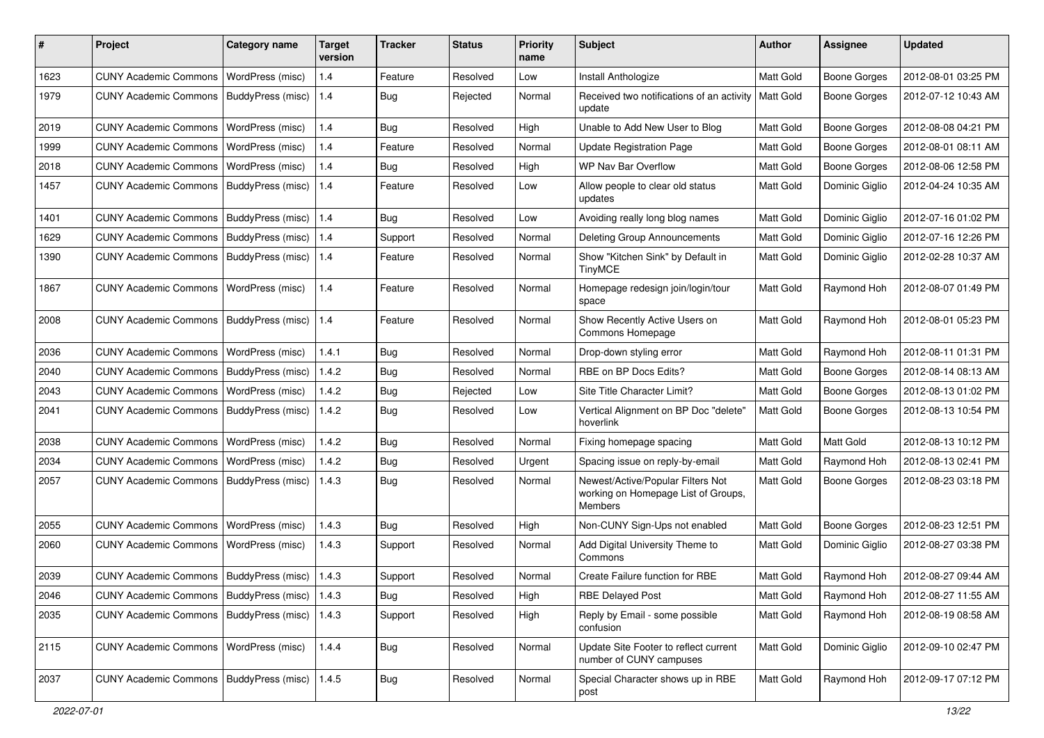| #    | Project                                           | <b>Category name</b>     | <b>Target</b><br>version | Tracker    | <b>Status</b> | <b>Priority</b><br>name | Subject                                                                                    | Author           | <b>Assignee</b>     | <b>Updated</b>      |
|------|---------------------------------------------------|--------------------------|--------------------------|------------|---------------|-------------------------|--------------------------------------------------------------------------------------------|------------------|---------------------|---------------------|
| 1623 | <b>CUNY Academic Commons</b>                      | WordPress (misc)         | 1.4                      | Feature    | Resolved      | Low                     | Install Anthologize                                                                        | Matt Gold        | <b>Boone Gorges</b> | 2012-08-01 03:25 PM |
| 1979 | <b>CUNY Academic Commons</b>                      | BuddyPress (misc)        | 1.4                      | Bug        | Rejected      | Normal                  | Received two notifications of an activity<br>update                                        | <b>Matt Gold</b> | <b>Boone Gorges</b> | 2012-07-12 10:43 AM |
| 2019 | <b>CUNY Academic Commons</b>                      | WordPress (misc)         | 1.4                      | Bug        | Resolved      | High                    | Unable to Add New User to Blog                                                             | Matt Gold        | <b>Boone Gorges</b> | 2012-08-08 04:21 PM |
| 1999 | <b>CUNY Academic Commons</b>                      | WordPress (misc)         | 1.4                      | Feature    | Resolved      | Normal                  | <b>Update Registration Page</b>                                                            | Matt Gold        | <b>Boone Gorges</b> | 2012-08-01 08:11 AM |
| 2018 | <b>CUNY Academic Commons</b>                      | <b>WordPress (misc)</b>  | 1.4                      | Bug        | Resolved      | High                    | <b>WP Nav Bar Overflow</b>                                                                 | Matt Gold        | Boone Gorges        | 2012-08-06 12:58 PM |
| 1457 | <b>CUNY Academic Commons</b>                      | BuddyPress (misc)        | 1.4                      | Feature    | Resolved      | Low                     | Allow people to clear old status<br>updates                                                | Matt Gold        | Dominic Giglio      | 2012-04-24 10:35 AM |
| 1401 | <b>CUNY Academic Commons</b>                      | <b>BuddyPress (misc)</b> | 1.4                      | Bug        | Resolved      | Low                     | Avoiding really long blog names                                                            | Matt Gold        | Dominic Giglio      | 2012-07-16 01:02 PM |
| 1629 | <b>CUNY Academic Commons</b>                      | BuddyPress (misc)        | 1.4                      | Support    | Resolved      | Normal                  | Deleting Group Announcements                                                               | Matt Gold        | Dominic Giglio      | 2012-07-16 12:26 PM |
| 1390 | <b>CUNY Academic Commons</b>                      | BuddyPress (misc)        | 1.4                      | Feature    | Resolved      | Normal                  | Show "Kitchen Sink" by Default in<br><b>TinyMCE</b>                                        | Matt Gold        | Dominic Giglio      | 2012-02-28 10:37 AM |
| 1867 | <b>CUNY Academic Commons</b>                      | WordPress (misc)         | 1.4                      | Feature    | Resolved      | Normal                  | Homepage redesign join/login/tour<br>space                                                 | Matt Gold        | Raymond Hoh         | 2012-08-07 01:49 PM |
| 2008 | <b>CUNY Academic Commons</b>                      | BuddyPress (misc)        | 1.4                      | Feature    | Resolved      | Normal                  | Show Recently Active Users on<br>Commons Homepage                                          | <b>Matt Gold</b> | Raymond Hoh         | 2012-08-01 05:23 PM |
| 2036 | <b>CUNY Academic Commons</b>                      | WordPress (misc)         | 1.4.1                    | <b>Bug</b> | Resolved      | Normal                  | Drop-down styling error                                                                    | Matt Gold        | Raymond Hoh         | 2012-08-11 01:31 PM |
| 2040 | <b>CUNY Academic Commons</b>                      | <b>BuddyPress (misc)</b> | 1.4.2                    | Bug        | Resolved      | Normal                  | RBE on BP Docs Edits?                                                                      | Matt Gold        | <b>Boone Gorges</b> | 2012-08-14 08:13 AM |
| 2043 | <b>CUNY Academic Commons</b>                      | <b>WordPress (misc)</b>  | 1.4.2                    | Bug        | Rejected      | Low                     | Site Title Character Limit?                                                                | Matt Gold        | Boone Gorges        | 2012-08-13 01:02 PM |
| 2041 | <b>CUNY Academic Commons</b>                      | BuddyPress (misc)        | 1.4.2                    | Bug        | Resolved      | Low                     | Vertical Alignment on BP Doc "delete"<br>hoverlink                                         | Matt Gold        | Boone Gorges        | 2012-08-13 10:54 PM |
| 2038 | <b>CUNY Academic Commons</b>                      | WordPress (misc)         | 1.4.2                    | Bug        | Resolved      | Normal                  | Fixing homepage spacing                                                                    | Matt Gold        | Matt Gold           | 2012-08-13 10:12 PM |
| 2034 | <b>CUNY Academic Commons</b>                      | WordPress (misc)         | 1.4.2                    | <b>Bug</b> | Resolved      | Urgent                  | Spacing issue on reply-by-email                                                            | Matt Gold        | Raymond Hoh         | 2012-08-13 02:41 PM |
| 2057 | <b>CUNY Academic Commons</b>                      | BuddyPress (misc)        | 1.4.3                    | Bug        | Resolved      | Normal                  | Newest/Active/Popular Filters Not<br>working on Homepage List of Groups,<br><b>Members</b> | Matt Gold        | <b>Boone Gorges</b> | 2012-08-23 03:18 PM |
| 2055 | <b>CUNY Academic Commons</b>                      | WordPress (misc)         | 1.4.3                    | Bug        | Resolved      | High                    | Non-CUNY Sign-Ups not enabled                                                              | Matt Gold        | <b>Boone Gorges</b> | 2012-08-23 12:51 PM |
| 2060 | <b>CUNY Academic Commons</b>                      | <b>WordPress (misc)</b>  | 1.4.3                    | Support    | Resolved      | Normal                  | Add Digital University Theme to<br>Commons                                                 | Matt Gold        | Dominic Giglio      | 2012-08-27 03:38 PM |
| 2039 | CUNY Academic Commons   BuddyPress (misc)         |                          | 1.4.3                    | Support    | Resolved      | Normal                  | Create Failure function for RBE                                                            | Matt Gold        | Raymond Hoh         | 2012-08-27 09:44 AM |
| 2046 | CUNY Academic Commons   BuddyPress (misc)   1.4.3 |                          |                          | Bug        | Resolved      | High                    | <b>RBE Delayed Post</b>                                                                    | Matt Gold        | Raymond Hoh         | 2012-08-27 11:55 AM |
| 2035 | <b>CUNY Academic Commons</b>                      | <b>BuddyPress (misc)</b> | 1.4.3                    | Support    | Resolved      | High                    | Reply by Email - some possible<br>confusion                                                | Matt Gold        | Raymond Hoh         | 2012-08-19 08:58 AM |
| 2115 | <b>CUNY Academic Commons</b>                      | WordPress (misc)         | 1.4.4                    | Bug        | Resolved      | Normal                  | Update Site Footer to reflect current<br>number of CUNY campuses                           | Matt Gold        | Dominic Giglio      | 2012-09-10 02:47 PM |
| 2037 | CUNY Academic Commons   BuddyPress (misc)   1.4.5 |                          |                          | Bug        | Resolved      | Normal                  | Special Character shows up in RBE<br>post                                                  | Matt Gold        | Raymond Hoh         | 2012-09-17 07:12 PM |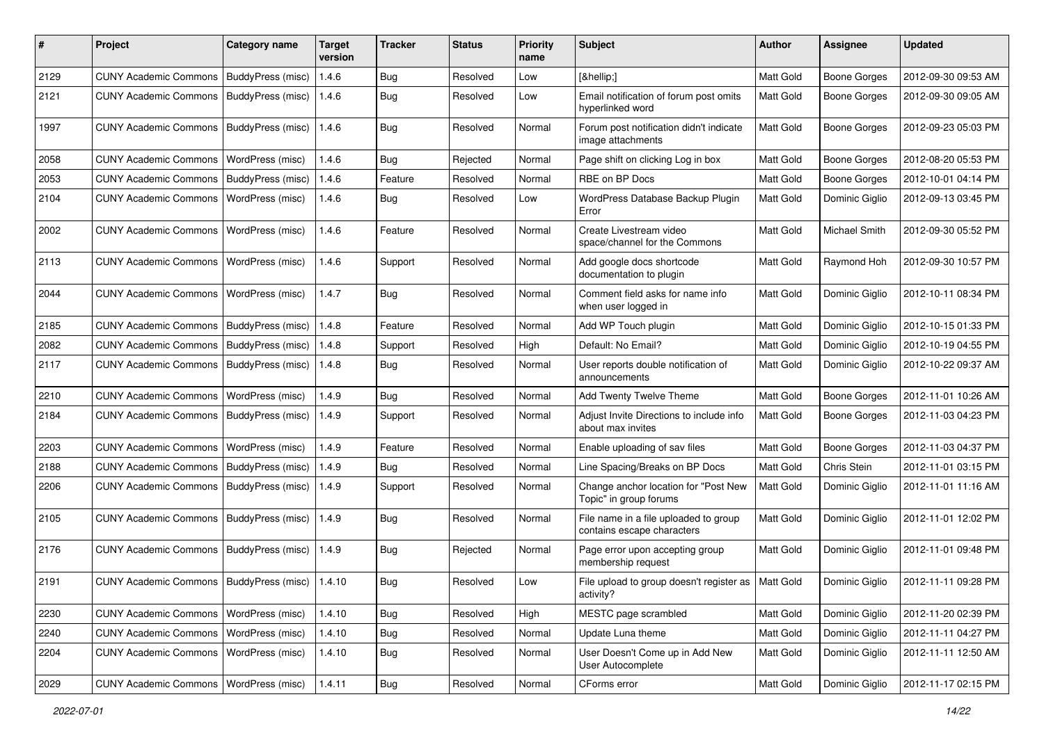| $\pmb{\#}$ | Project                                            | Category name     | Target<br>version | <b>Tracker</b> | <b>Status</b> | <b>Priority</b><br>name | Subject                                                             | <b>Author</b>    | Assignee            | <b>Updated</b>      |
|------------|----------------------------------------------------|-------------------|-------------------|----------------|---------------|-------------------------|---------------------------------------------------------------------|------------------|---------------------|---------------------|
| 2129       | <b>CUNY Academic Commons</b>                       | BuddyPress (misc) | 1.4.6             | <b>Bug</b>     | Resolved      | Low                     | […]                                                                 | Matt Gold        | <b>Boone Gorges</b> | 2012-09-30 09:53 AM |
| 2121       | <b>CUNY Academic Commons</b>                       | BuddyPress (misc) | 1.4.6             | Bug            | Resolved      | Low                     | Email notification of forum post omits<br>hyperlinked word          | Matt Gold        | <b>Boone Gorges</b> | 2012-09-30 09:05 AM |
| 1997       | <b>CUNY Academic Commons</b>                       | BuddyPress (misc) | 1.4.6             | Bug            | Resolved      | Normal                  | Forum post notification didn't indicate<br>image attachments        | Matt Gold        | <b>Boone Gorges</b> | 2012-09-23 05:03 PM |
| 2058       | <b>CUNY Academic Commons</b>                       | WordPress (misc)  | 1.4.6             | Bug            | Rejected      | Normal                  | Page shift on clicking Log in box                                   | Matt Gold        | <b>Boone Gorges</b> | 2012-08-20 05:53 PM |
| 2053       | <b>CUNY Academic Commons</b>                       | BuddyPress (misc) | 1.4.6             | Feature        | Resolved      | Normal                  | RBE on BP Docs                                                      | Matt Gold        | <b>Boone Gorges</b> | 2012-10-01 04:14 PM |
| 2104       | <b>CUNY Academic Commons</b>                       | WordPress (misc)  | 1.4.6             | Bug            | Resolved      | Low                     | WordPress Database Backup Plugin<br>Error                           | Matt Gold        | Dominic Giglio      | 2012-09-13 03:45 PM |
| 2002       | <b>CUNY Academic Commons</b>                       | WordPress (misc)  | 1.4.6             | Feature        | Resolved      | Normal                  | Create Livestream video<br>space/channel for the Commons            | Matt Gold        | Michael Smith       | 2012-09-30 05:52 PM |
| 2113       | <b>CUNY Academic Commons</b>                       | WordPress (misc)  | 1.4.6             | Support        | Resolved      | Normal                  | Add google docs shortcode<br>documentation to plugin                | <b>Matt Gold</b> | Raymond Hoh         | 2012-09-30 10:57 PM |
| 2044       | <b>CUNY Academic Commons</b>                       | WordPress (misc)  | 1.4.7             | <b>Bug</b>     | Resolved      | Normal                  | Comment field asks for name info<br>when user logged in             | <b>Matt Gold</b> | Dominic Giglio      | 2012-10-11 08:34 PM |
| 2185       | <b>CUNY Academic Commons</b>                       | BuddyPress (misc) | 1.4.8             | Feature        | Resolved      | Normal                  | Add WP Touch plugin                                                 | Matt Gold        | Dominic Giglio      | 2012-10-15 01:33 PM |
| 2082       | <b>CUNY Academic Commons</b>                       | BuddyPress (misc) | 1.4.8             | Support        | Resolved      | High                    | Default: No Email?                                                  | Matt Gold        | Dominic Giglio      | 2012-10-19 04:55 PM |
| 2117       | <b>CUNY Academic Commons</b>                       | BuddyPress (misc) | 1.4.8             | <b>Bug</b>     | Resolved      | Normal                  | User reports double notification of<br>announcements                | Matt Gold        | Dominic Giglio      | 2012-10-22 09:37 AM |
| 2210       | <b>CUNY Academic Commons</b>                       | WordPress (misc)  | 1.4.9             | Bug            | Resolved      | Normal                  | <b>Add Twenty Twelve Theme</b>                                      | Matt Gold        | <b>Boone Gorges</b> | 2012-11-01 10:26 AM |
| 2184       | <b>CUNY Academic Commons</b>                       | BuddyPress (misc) | 1.4.9             | Support        | Resolved      | Normal                  | Adjust Invite Directions to include info<br>about max invites       | Matt Gold        | Boone Gorges        | 2012-11-03 04:23 PM |
| 2203       | <b>CUNY Academic Commons</b>                       | WordPress (misc)  | 1.4.9             | Feature        | Resolved      | Normal                  | Enable uploading of sav files                                       | Matt Gold        | <b>Boone Gorges</b> | 2012-11-03 04:37 PM |
| 2188       | <b>CUNY Academic Commons</b>                       | BuddyPress (misc) | 1.4.9             | Bug            | Resolved      | Normal                  | Line Spacing/Breaks on BP Docs                                      | <b>Matt Gold</b> | Chris Stein         | 2012-11-01 03:15 PM |
| 2206       | <b>CUNY Academic Commons</b>                       | BuddyPress (misc) | 1.4.9             | Support        | Resolved      | Normal                  | Change anchor location for "Post New<br>Topic" in group forums      | Matt Gold        | Dominic Giglio      | 2012-11-01 11:16 AM |
| 2105       | <b>CUNY Academic Commons</b>                       | BuddyPress (misc) | 1.4.9             | Bug            | Resolved      | Normal                  | File name in a file uploaded to group<br>contains escape characters | Matt Gold        | Dominic Giglio      | 2012-11-01 12:02 PM |
| 2176       | <b>CUNY Academic Commons</b>                       | BuddyPress (misc) | 1.4.9             | Bug            | Rejected      | Normal                  | Page error upon accepting group<br>membership request               | Matt Gold        | Dominic Giglio      | 2012-11-01 09:48 PM |
| 2191       | CUNY Academic Commons   BuddyPress (misc)   1.4.10 |                   |                   | <b>Bug</b>     | Resolved      | Low                     | File upload to group doesn't register as<br>activity?               | Matt Gold        | Dominic Giglio      | 2012-11-11 09:28 PM |
| 2230       | <b>CUNY Academic Commons</b>                       | WordPress (misc)  | 1.4.10            | Bug            | Resolved      | High                    | MESTC page scrambled                                                | Matt Gold        | Dominic Giglio      | 2012-11-20 02:39 PM |
| 2240       | <b>CUNY Academic Commons</b>                       | WordPress (misc)  | 1.4.10            | <b>Bug</b>     | Resolved      | Normal                  | Update Luna theme                                                   | Matt Gold        | Dominic Giglio      | 2012-11-11 04:27 PM |
| 2204       | <b>CUNY Academic Commons</b>                       | WordPress (misc)  | 1.4.10            | <b>Bug</b>     | Resolved      | Normal                  | User Doesn't Come up in Add New<br>User Autocomplete                | Matt Gold        | Dominic Giglio      | 2012-11-11 12:50 AM |
| 2029       | <b>CUNY Academic Commons</b>                       | WordPress (misc)  | 1.4.11            | <b>Bug</b>     | Resolved      | Normal                  | CForms error                                                        | Matt Gold        | Dominic Giglio      | 2012-11-17 02:15 PM |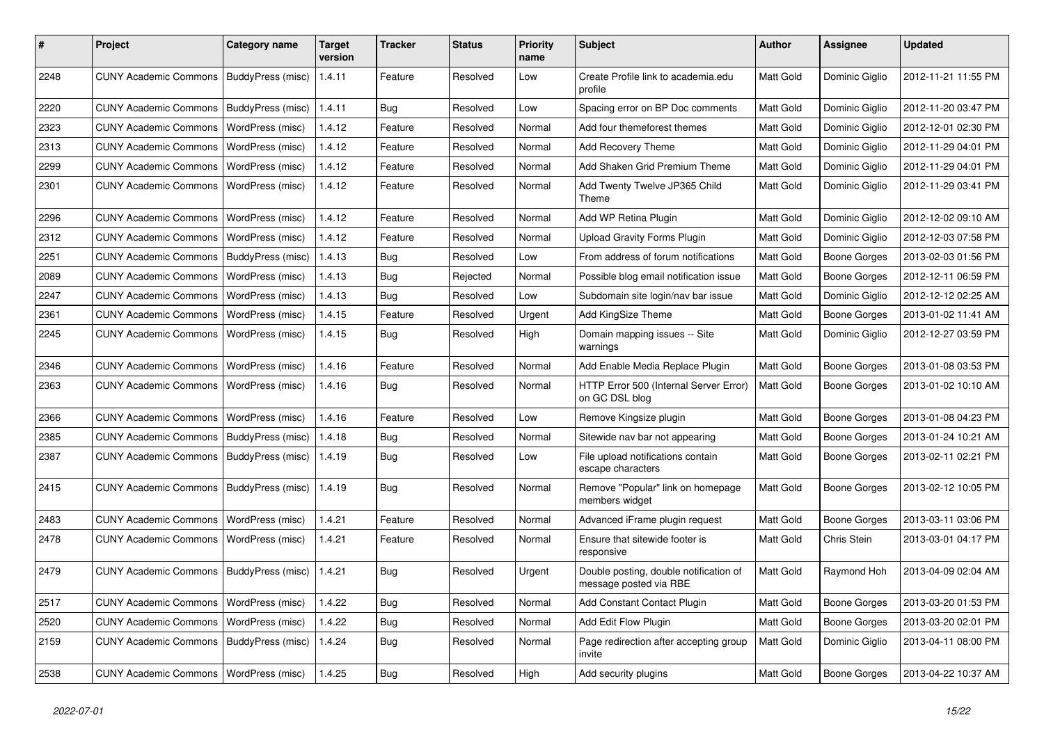| #    | Project                                  | <b>Category name</b>     | <b>Target</b><br>version | <b>Tracker</b> | <b>Status</b> | <b>Priority</b><br>name | Subject                                                          | <b>Author</b>    | <b>Assignee</b>     | <b>Updated</b>      |
|------|------------------------------------------|--------------------------|--------------------------|----------------|---------------|-------------------------|------------------------------------------------------------------|------------------|---------------------|---------------------|
| 2248 | <b>CUNY Academic Commons</b>             | BuddyPress (misc)        | 1.4.11                   | Feature        | Resolved      | Low                     | Create Profile link to academia.edu<br>profile                   | Matt Gold        | Dominic Giglio      | 2012-11-21 11:55 PM |
| 2220 | <b>CUNY Academic Commons</b>             | BuddyPress (misc)        | 1.4.11                   | <b>Bug</b>     | Resolved      | Low                     | Spacing error on BP Doc comments                                 | Matt Gold        | Dominic Giglio      | 2012-11-20 03:47 PM |
| 2323 | <b>CUNY Academic Commons</b>             | <b>WordPress (misc)</b>  | 1.4.12                   | Feature        | Resolved      | Normal                  | Add four themeforest themes                                      | Matt Gold        | Dominic Giglio      | 2012-12-01 02:30 PM |
| 2313 | <b>CUNY Academic Commons</b>             | WordPress (misc)         | 1.4.12                   | Feature        | Resolved      | Normal                  | <b>Add Recovery Theme</b>                                        | Matt Gold        | Dominic Giglio      | 2012-11-29 04:01 PM |
| 2299 | <b>CUNY Academic Commons</b>             | WordPress (misc)         | 1.4.12                   | Feature        | Resolved      | Normal                  | Add Shaken Grid Premium Theme                                    | Matt Gold        | Dominic Giglio      | 2012-11-29 04:01 PM |
| 2301 | <b>CUNY Academic Commons</b>             | WordPress (misc)         | 1.4.12                   | Feature        | Resolved      | Normal                  | Add Twenty Twelve JP365 Child<br>Theme                           | <b>Matt Gold</b> | Dominic Giglio      | 2012-11-29 03:41 PM |
| 2296 | <b>CUNY Academic Commons</b>             | WordPress (misc)         | 1.4.12                   | Feature        | Resolved      | Normal                  | Add WP Retina Plugin                                             | Matt Gold        | Dominic Giglio      | 2012-12-02 09:10 AM |
| 2312 | <b>CUNY Academic Commons</b>             | WordPress (misc)         | 1.4.12                   | Feature        | Resolved      | Normal                  | <b>Upload Gravity Forms Plugin</b>                               | Matt Gold        | Dominic Giglio      | 2012-12-03 07:58 PM |
| 2251 | <b>CUNY Academic Commons</b>             | BuddyPress (misc)        | 1.4.13                   | Bug            | Resolved      | Low                     | From address of forum notifications                              | Matt Gold        | <b>Boone Gorges</b> | 2013-02-03 01:56 PM |
| 2089 | <b>CUNY Academic Commons</b>             | WordPress (misc)         | 1.4.13                   | Bug            | Rejected      | Normal                  | Possible blog email notification issue                           | Matt Gold        | <b>Boone Gorges</b> | 2012-12-11 06:59 PM |
| 2247 | <b>CUNY Academic Commons</b>             | WordPress (misc)         | 1.4.13                   | Bug            | Resolved      | Low                     | Subdomain site login/nav bar issue                               | Matt Gold        | Dominic Giglio      | 2012-12-12 02:25 AM |
| 2361 | <b>CUNY Academic Commons</b>             | WordPress (misc)         | 1.4.15                   | Feature        | Resolved      | Urgent                  | Add KingSize Theme                                               | Matt Gold        | Boone Gorges        | 2013-01-02 11:41 AM |
| 2245 | <b>CUNY Academic Commons</b>             | WordPress (misc)         | 1.4.15                   | Bug            | Resolved      | High                    | Domain mapping issues -- Site<br>warnings                        | Matt Gold        | Dominic Giglio      | 2012-12-27 03:59 PM |
| 2346 | <b>CUNY Academic Commons</b>             | WordPress (misc)         | 1.4.16                   | Feature        | Resolved      | Normal                  | Add Enable Media Replace Plugin                                  | Matt Gold        | <b>Boone Gorges</b> | 2013-01-08 03:53 PM |
| 2363 | <b>CUNY Academic Commons</b>             | WordPress (misc)         | 1.4.16                   | Bug            | Resolved      | Normal                  | HTTP Error 500 (Internal Server Error)<br>on GC DSL blog         | Matt Gold        | <b>Boone Gorges</b> | 2013-01-02 10:10 AM |
| 2366 | <b>CUNY Academic Commons</b>             | <b>WordPress (misc)</b>  | 1.4.16                   | Feature        | Resolved      | Low                     | Remove Kingsize plugin                                           | Matt Gold        | <b>Boone Gorges</b> | 2013-01-08 04:23 PM |
| 2385 | <b>CUNY Academic Commons</b>             | BuddyPress (misc)        | 1.4.18                   | Bug            | Resolved      | Normal                  | Sitewide nav bar not appearing                                   | Matt Gold        | Boone Gorges        | 2013-01-24 10:21 AM |
| 2387 | <b>CUNY Academic Commons</b>             | BuddyPress (misc)        | 1.4.19                   | Bug            | Resolved      | Low                     | File upload notifications contain<br>escape characters           | Matt Gold        | Boone Gorges        | 2013-02-11 02:21 PM |
| 2415 | <b>CUNY Academic Commons</b>             | <b>BuddyPress (misc)</b> | 1.4.19                   | Bug            | Resolved      | Normal                  | Remove "Popular" link on homepage<br>members widget              | Matt Gold        | <b>Boone Gorges</b> | 2013-02-12 10:05 PM |
| 2483 | <b>CUNY Academic Commons</b>             | WordPress (misc)         | 1.4.21                   | Feature        | Resolved      | Normal                  | Advanced iFrame plugin request                                   | Matt Gold        | <b>Boone Gorges</b> | 2013-03-11 03:06 PM |
| 2478 | <b>CUNY Academic Commons</b>             | WordPress (misc)         | 1.4.21                   | Feature        | Resolved      | Normal                  | Ensure that sitewide footer is<br>responsive                     | <b>Matt Gold</b> | Chris Stein         | 2013-03-01 04:17 PM |
| 2479 | <b>CUNY Academic Commons</b>             | BuddyPress (misc)        | 1.4.21                   | Bug            | Resolved      | Urgent                  | Double posting, double notification of<br>message posted via RBE | Matt Gold        | Raymond Hoh         | 2013-04-09 02:04 AM |
| 2517 | CUNY Academic Commons   WordPress (misc) |                          | 1.4.22                   | Bug            | Resolved      | Normal                  | Add Constant Contact Plugin                                      | Matt Gold        | <b>Boone Gorges</b> | 2013-03-20 01:53 PM |
| 2520 | <b>CUNY Academic Commons</b>             | <b>WordPress (misc)</b>  | 1.4.22                   | Bug            | Resolved      | Normal                  | Add Edit Flow Plugin                                             | Matt Gold        | Boone Gorges        | 2013-03-20 02:01 PM |
| 2159 | <b>CUNY Academic Commons</b>             | BuddyPress (misc)        | 1.4.24                   | <b>Bug</b>     | Resolved      | Normal                  | Page redirection after accepting group<br>invite                 | Matt Gold        | Dominic Giglio      | 2013-04-11 08:00 PM |
| 2538 | <b>CUNY Academic Commons</b>             | WordPress (misc)         | 1.4.25                   | Bug            | Resolved      | High                    | Add security plugins                                             | Matt Gold        | Boone Gorges        | 2013-04-22 10:37 AM |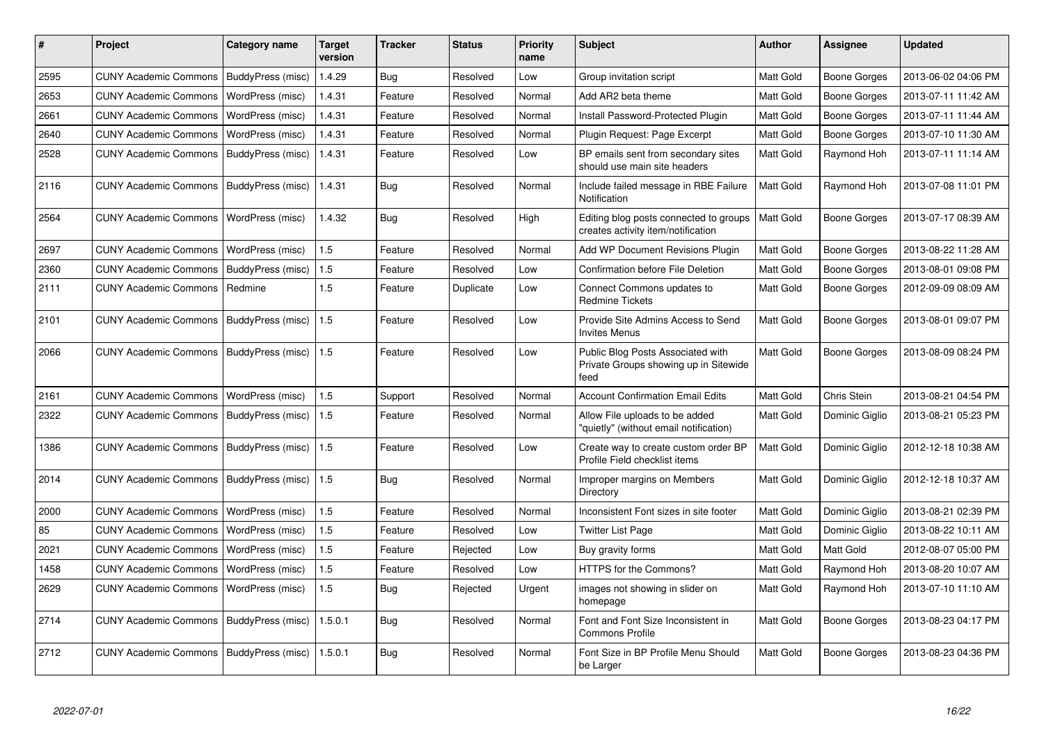| #    | Project                      | <b>Category name</b>     | Target<br>version | <b>Tracker</b> | <b>Status</b> | <b>Priority</b><br>name | <b>Subject</b>                                                                     | <b>Author</b>    | Assignee            | <b>Updated</b>      |
|------|------------------------------|--------------------------|-------------------|----------------|---------------|-------------------------|------------------------------------------------------------------------------------|------------------|---------------------|---------------------|
| 2595 | <b>CUNY Academic Commons</b> | BuddyPress (misc)        | 1.4.29            | Bug            | Resolved      | Low                     | Group invitation script                                                            | Matt Gold        | Boone Gorges        | 2013-06-02 04:06 PM |
| 2653 | <b>CUNY Academic Commons</b> | WordPress (misc)         | 1.4.31            | Feature        | Resolved      | Normal                  | Add AR2 beta theme                                                                 | Matt Gold        | Boone Gorges        | 2013-07-11 11:42 AM |
| 2661 | <b>CUNY Academic Commons</b> | WordPress (misc)         | 1.4.31            | Feature        | Resolved      | Normal                  | <b>Install Password-Protected Plugin</b>                                           | Matt Gold        | <b>Boone Gorges</b> | 2013-07-11 11:44 AM |
| 2640 | <b>CUNY Academic Commons</b> | WordPress (misc)         | 1.4.31            | Feature        | Resolved      | Normal                  | Plugin Request: Page Excerpt                                                       | <b>Matt Gold</b> | Boone Gorges        | 2013-07-10 11:30 AM |
| 2528 | <b>CUNY Academic Commons</b> | BuddyPress (misc)        | 1.4.31            | Feature        | Resolved      | Low                     | BP emails sent from secondary sites<br>should use main site headers                | Matt Gold        | Raymond Hoh         | 2013-07-11 11:14 AM |
| 2116 | <b>CUNY Academic Commons</b> | BuddyPress (misc)        | 1.4.31            | <b>Bug</b>     | Resolved      | Normal                  | Include failed message in RBE Failure<br>Notification                              | <b>Matt Gold</b> | Raymond Hoh         | 2013-07-08 11:01 PM |
| 2564 | <b>CUNY Academic Commons</b> | WordPress (misc)         | 1.4.32            | Bug            | Resolved      | High                    | Editing blog posts connected to groups<br>creates activity item/notification       | Matt Gold        | Boone Gorges        | 2013-07-17 08:39 AM |
| 2697 | <b>CUNY Academic Commons</b> | WordPress (misc)         | 1.5               | Feature        | Resolved      | Normal                  | Add WP Document Revisions Plugin                                                   | Matt Gold        | Boone Gorges        | 2013-08-22 11:28 AM |
| 2360 | <b>CUNY Academic Commons</b> | BuddyPress (misc)        | 1.5               | Feature        | Resolved      | Low                     | <b>Confirmation before File Deletion</b>                                           | Matt Gold        | Boone Gorges        | 2013-08-01 09:08 PM |
| 2111 | <b>CUNY Academic Commons</b> | Redmine                  | 1.5               | Feature        | Duplicate     | Low                     | Connect Commons updates to<br><b>Redmine Tickets</b>                               | <b>Matt Gold</b> | Boone Gorges        | 2012-09-09 08:09 AM |
| 2101 | <b>CUNY Academic Commons</b> | BuddyPress (misc)        | 1.5               | Feature        | Resolved      | Low                     | Provide Site Admins Access to Send<br><b>Invites Menus</b>                         | Matt Gold        | Boone Gorges        | 2013-08-01 09:07 PM |
| 2066 | <b>CUNY Academic Commons</b> | BuddyPress (misc)        | 1.5               | Feature        | Resolved      | Low                     | Public Blog Posts Associated with<br>Private Groups showing up in Sitewide<br>feed | Matt Gold        | Boone Gorges        | 2013-08-09 08:24 PM |
| 2161 | <b>CUNY Academic Commons</b> | WordPress (misc)         | 1.5               | Support        | Resolved      | Normal                  | <b>Account Confirmation Email Edits</b>                                            | Matt Gold        | Chris Stein         | 2013-08-21 04:54 PM |
| 2322 | <b>CUNY Academic Commons</b> | <b>BuddyPress (misc)</b> | 1.5               | Feature        | Resolved      | Normal                  | Allow File uploads to be added<br>"quietly" (without email notification)           | Matt Gold        | Dominic Giglio      | 2013-08-21 05:23 PM |
| 1386 | <b>CUNY Academic Commons</b> | BuddyPress (misc)        | 1.5               | Feature        | Resolved      | Low                     | Create way to create custom order BP<br>Profile Field checklist items              | Matt Gold        | Dominic Giglio      | 2012-12-18 10:38 AM |
| 2014 | <b>CUNY Academic Commons</b> | BuddyPress (misc)        | 1.5               | <b>Bug</b>     | Resolved      | Normal                  | Improper margins on Members<br>Directory                                           | Matt Gold        | Dominic Giglio      | 2012-12-18 10:37 AM |
| 2000 | <b>CUNY Academic Commons</b> | WordPress (misc)         | 1.5               | Feature        | Resolved      | Normal                  | Inconsistent Font sizes in site footer                                             | Matt Gold        | Dominic Giglio      | 2013-08-21 02:39 PM |
| 85   | <b>CUNY Academic Commons</b> | WordPress (misc)         | 1.5               | Feature        | Resolved      | Low                     | <b>Twitter List Page</b>                                                           | Matt Gold        | Dominic Giglio      | 2013-08-22 10:11 AM |
| 2021 | <b>CUNY Academic Commons</b> | WordPress (misc)         | 1.5               | Feature        | Rejected      | Low                     | Buy gravity forms                                                                  | Matt Gold        | Matt Gold           | 2012-08-07 05:00 PM |
| 1458 | <b>CUNY Academic Commons</b> | WordPress (misc)         | 1.5               | Feature        | Resolved      | Low                     | HTTPS for the Commons?                                                             | Matt Gold        | Raymond Hoh         | 2013-08-20 10:07 AM |
| 2629 | <b>CUNY Academic Commons</b> | WordPress (misc)         | 1.5               | <b>Bug</b>     | Rejected      | Urgent                  | images not showing in slider on<br>homepage                                        | <b>Matt Gold</b> | Raymond Hoh         | 2013-07-10 11:10 AM |
| 2714 | <b>CUNY Academic Commons</b> | BuddyPress (misc)        | 1.5.0.1           | Bug            | Resolved      | Normal                  | Font and Font Size Inconsistent in<br><b>Commons Profile</b>                       | Matt Gold        | Boone Gorges        | 2013-08-23 04:17 PM |
| 2712 | <b>CUNY Academic Commons</b> | BuddyPress (misc)        | 1.5.0.1           | Bug            | Resolved      | Normal                  | Font Size in BP Profile Menu Should<br>be Larger                                   | Matt Gold        | Boone Gorges        | 2013-08-23 04:36 PM |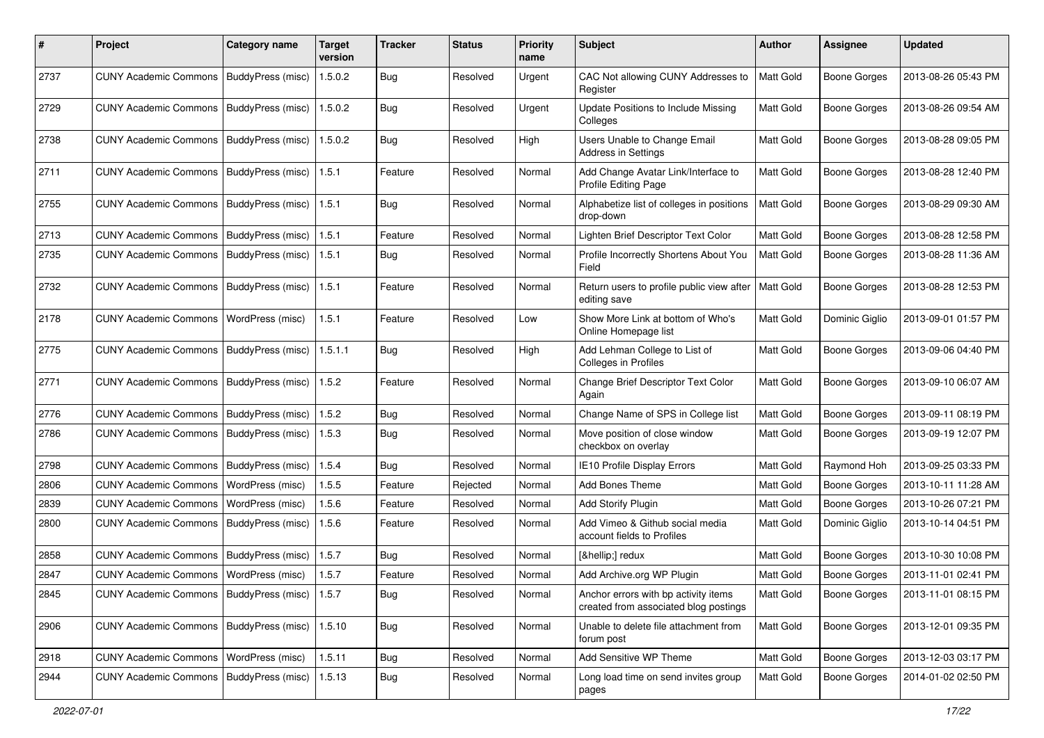| #    | Project                                           | <b>Category name</b>     | Target<br>version | <b>Tracker</b> | <b>Status</b> | <b>Priority</b><br>name | Subject                                                                       | <b>Author</b> | <b>Assignee</b>     | <b>Updated</b>      |
|------|---------------------------------------------------|--------------------------|-------------------|----------------|---------------|-------------------------|-------------------------------------------------------------------------------|---------------|---------------------|---------------------|
| 2737 | <b>CUNY Academic Commons</b>                      | BuddyPress (misc)        | 1.5.0.2           | <b>Bug</b>     | Resolved      | Urgent                  | CAC Not allowing CUNY Addresses to<br>Register                                | Matt Gold     | <b>Boone Gorges</b> | 2013-08-26 05:43 PM |
| 2729 | <b>CUNY Academic Commons</b>                      | BuddyPress (misc)        | 1.5.0.2           | Bug            | Resolved      | Urgent                  | Update Positions to Include Missing<br>Colleges                               | Matt Gold     | Boone Gorges        | 2013-08-26 09:54 AM |
| 2738 | <b>CUNY Academic Commons</b>                      | BuddyPress (misc)        | 1.5.0.2           | Bug            | Resolved      | High                    | Users Unable to Change Email<br>Address in Settings                           | Matt Gold     | <b>Boone Gorges</b> | 2013-08-28 09:05 PM |
| 2711 | <b>CUNY Academic Commons</b>                      | BuddyPress (misc)        | 1.5.1             | Feature        | Resolved      | Normal                  | Add Change Avatar Link/Interface to<br>Profile Editing Page                   | Matt Gold     | <b>Boone Gorges</b> | 2013-08-28 12:40 PM |
| 2755 | <b>CUNY Academic Commons</b>                      | BuddyPress (misc)        | 1.5.1             | Bug            | Resolved      | Normal                  | Alphabetize list of colleges in positions<br>drop-down                        | Matt Gold     | <b>Boone Gorges</b> | 2013-08-29 09:30 AM |
| 2713 | <b>CUNY Academic Commons</b>                      | BuddyPress (misc)        | 1.5.1             | Feature        | Resolved      | Normal                  | Lighten Brief Descriptor Text Color                                           | Matt Gold     | <b>Boone Gorges</b> | 2013-08-28 12:58 PM |
| 2735 | <b>CUNY Academic Commons</b>                      | BuddyPress (misc)        | 1.5.1             | <b>Bug</b>     | Resolved      | Normal                  | Profile Incorrectly Shortens About You<br>Field                               | Matt Gold     | <b>Boone Gorges</b> | 2013-08-28 11:36 AM |
| 2732 | <b>CUNY Academic Commons</b>                      | BuddyPress (misc)        | 1.5.1             | Feature        | Resolved      | Normal                  | Return users to profile public view after<br>editing save                     | Matt Gold     | <b>Boone Gorges</b> | 2013-08-28 12:53 PM |
| 2178 | <b>CUNY Academic Commons</b>                      | WordPress (misc)         | 1.5.1             | Feature        | Resolved      | Low                     | Show More Link at bottom of Who's<br>Online Homepage list                     | Matt Gold     | Dominic Giglio      | 2013-09-01 01:57 PM |
| 2775 | <b>CUNY Academic Commons</b>                      | BuddyPress (misc)        | 1.5.1.1           | Bug            | Resolved      | High                    | Add Lehman College to List of<br>Colleges in Profiles                         | Matt Gold     | <b>Boone Gorges</b> | 2013-09-06 04:40 PM |
| 2771 | <b>CUNY Academic Commons</b>                      | BuddyPress (misc)        | 1.5.2             | Feature        | Resolved      | Normal                  | Change Brief Descriptor Text Color<br>Again                                   | Matt Gold     | Boone Gorges        | 2013-09-10 06:07 AM |
| 2776 | <b>CUNY Academic Commons</b>                      | BuddyPress (misc)        | 1.5.2             | Bug            | Resolved      | Normal                  | Change Name of SPS in College list                                            | Matt Gold     | <b>Boone Gorges</b> | 2013-09-11 08:19 PM |
| 2786 | <b>CUNY Academic Commons</b>                      | BuddyPress (misc)        | 1.5.3             | Bug            | Resolved      | Normal                  | Move position of close window<br>checkbox on overlay                          | Matt Gold     | <b>Boone Gorges</b> | 2013-09-19 12:07 PM |
| 2798 | <b>CUNY Academic Commons</b>                      | BuddyPress (misc)        | 1.5.4             | Bug            | Resolved      | Normal                  | <b>IE10 Profile Display Errors</b>                                            | Matt Gold     | Raymond Hoh         | 2013-09-25 03:33 PM |
| 2806 | <b>CUNY Academic Commons</b>                      | WordPress (misc)         | 1.5.5             | Feature        | Rejected      | Normal                  | <b>Add Bones Theme</b>                                                        | Matt Gold     | <b>Boone Gorges</b> | 2013-10-11 11:28 AM |
| 2839 | <b>CUNY Academic Commons</b>                      | WordPress (misc)         | 1.5.6             | Feature        | Resolved      | Normal                  | <b>Add Storify Plugin</b>                                                     | Matt Gold     | <b>Boone Gorges</b> | 2013-10-26 07:21 PM |
| 2800 | <b>CUNY Academic Commons</b>                      | BuddyPress (misc)        | 1.5.6             | Feature        | Resolved      | Normal                  | Add Vimeo & Github social media<br>account fields to Profiles                 | Matt Gold     | Dominic Giglio      | 2013-10-14 04:51 PM |
| 2858 | <b>CUNY Academic Commons</b>                      | <b>BuddyPress (misc)</b> | 1.5.7             | Bug            | Resolved      | Normal                  | […] redux                                                                     | Matt Gold     | <b>Boone Gorges</b> | 2013-10-30 10:08 PM |
| 2847 | <b>CUNY Academic Commons</b>                      | WordPress (misc)         | 1.5.7             | Feature        | Resolved      | Normal                  | Add Archive.org WP Plugin                                                     | Matt Gold     | <b>Boone Gorges</b> | 2013-11-01 02:41 PM |
| 2845 | CUNY Academic Commons   BuddyPress (misc)   1.5.7 |                          |                   | Bug            | Resolved      | Normal                  | Anchor errors with bp activity items<br>created from associated blog postings | Matt Gold     | <b>Boone Gorges</b> | 2013-11-01 08:15 PM |
| 2906 | CUNY Academic Commons   BuddyPress (misc)         |                          | 1.5.10            | <b>Bug</b>     | Resolved      | Normal                  | Unable to delete file attachment from<br>forum post                           | Matt Gold     | <b>Boone Gorges</b> | 2013-12-01 09:35 PM |
| 2918 | <b>CUNY Academic Commons</b>                      | WordPress (misc)         | 1.5.11            | <b>Bug</b>     | Resolved      | Normal                  | Add Sensitive WP Theme                                                        | Matt Gold     | Boone Gorges        | 2013-12-03 03:17 PM |
| 2944 | <b>CUNY Academic Commons</b>                      | BuddyPress (misc)        | 1.5.13            | <b>Bug</b>     | Resolved      | Normal                  | Long load time on send invites group<br>pages                                 | Matt Gold     | Boone Gorges        | 2014-01-02 02:50 PM |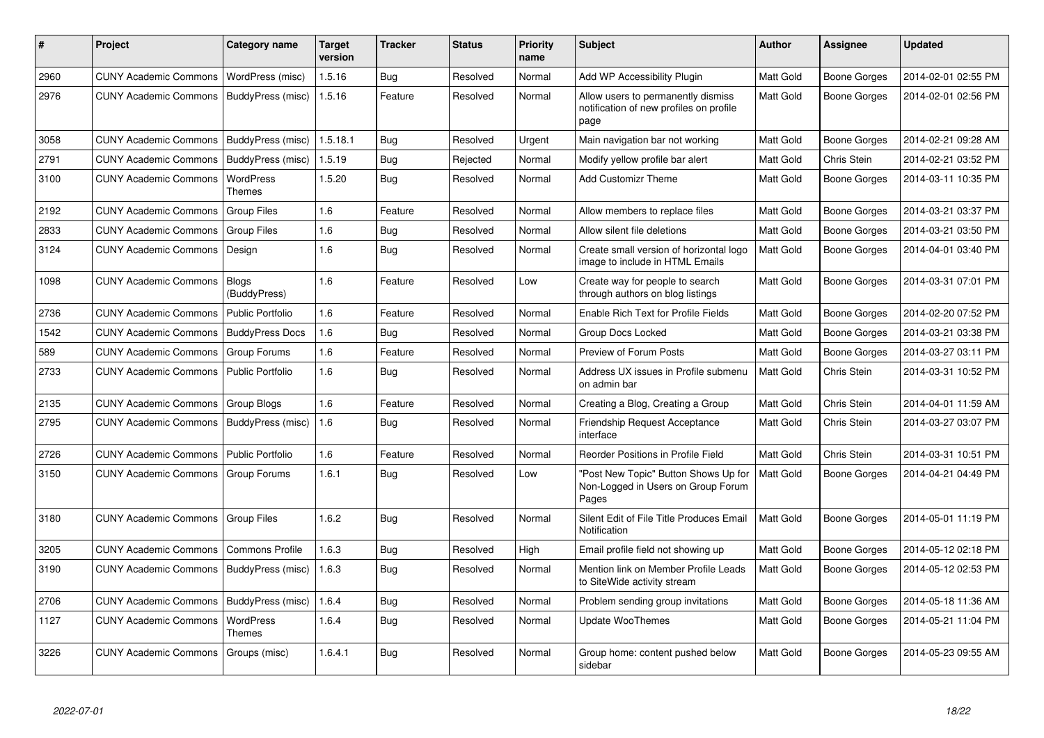| #    | <b>Project</b>               | Category name                | <b>Target</b><br>version | <b>Tracker</b> | <b>Status</b> | <b>Priority</b><br>name | <b>Subject</b>                                                                        | <b>Author</b>    | Assignee            | <b>Updated</b>      |
|------|------------------------------|------------------------------|--------------------------|----------------|---------------|-------------------------|---------------------------------------------------------------------------------------|------------------|---------------------|---------------------|
| 2960 | <b>CUNY Academic Commons</b> | WordPress (misc)             | 1.5.16                   | Bug            | Resolved      | Normal                  | Add WP Accessibility Plugin                                                           | Matt Gold        | Boone Gorges        | 2014-02-01 02:55 PM |
| 2976 | <b>CUNY Academic Commons</b> | BuddyPress (misc)            | 1.5.16                   | Feature        | Resolved      | Normal                  | Allow users to permanently dismiss<br>notification of new profiles on profile<br>page | Matt Gold        | Boone Gorges        | 2014-02-01 02:56 PM |
| 3058 | <b>CUNY Academic Commons</b> | BuddyPress (misc)            | 1.5.18.1                 | Bug            | Resolved      | Urgent                  | Main navigation bar not working                                                       | Matt Gold        | <b>Boone Gorges</b> | 2014-02-21 09:28 AM |
| 2791 | <b>CUNY Academic Commons</b> | BuddyPress (misc)            | 1.5.19                   | <b>Bug</b>     | Rejected      | Normal                  | Modify yellow profile bar alert                                                       | Matt Gold        | Chris Stein         | 2014-02-21 03:52 PM |
| 3100 | <b>CUNY Academic Commons</b> | WordPress<br><b>Themes</b>   | 1.5.20                   | <b>Bug</b>     | Resolved      | Normal                  | Add Customizr Theme                                                                   | <b>Matt Gold</b> | Boone Gorges        | 2014-03-11 10:35 PM |
| 2192 | <b>CUNY Academic Commons</b> | <b>Group Files</b>           | 1.6                      | Feature        | Resolved      | Normal                  | Allow members to replace files                                                        | Matt Gold        | <b>Boone Gorges</b> | 2014-03-21 03:37 PM |
| 2833 | <b>CUNY Academic Commons</b> | <b>Group Files</b>           | 1.6                      | <b>Bug</b>     | Resolved      | Normal                  | Allow silent file deletions                                                           | Matt Gold        | Boone Gorges        | 2014-03-21 03:50 PM |
| 3124 | <b>CUNY Academic Commons</b> | Design                       | 1.6                      | Bug            | Resolved      | Normal                  | Create small version of horizontal logo<br>image to include in HTML Emails            | Matt Gold        | Boone Gorges        | 2014-04-01 03:40 PM |
| 1098 | <b>CUNY Academic Commons</b> | <b>Blogs</b><br>(BuddyPress) | 1.6                      | Feature        | Resolved      | Low                     | Create way for people to search<br>through authors on blog listings                   | <b>Matt Gold</b> | Boone Gorges        | 2014-03-31 07:01 PM |
| 2736 | <b>CUNY Academic Commons</b> | Public Portfolio             | 1.6                      | Feature        | Resolved      | Normal                  | <b>Enable Rich Text for Profile Fields</b>                                            | Matt Gold        | Boone Gorges        | 2014-02-20 07:52 PM |
| 1542 | <b>CUNY Academic Commons</b> | <b>BuddyPress Docs</b>       | 1.6                      | <b>Bug</b>     | Resolved      | Normal                  | <b>Group Docs Locked</b>                                                              | Matt Gold        | Boone Gorges        | 2014-03-21 03:38 PM |
| 589  | <b>CUNY Academic Commons</b> | Group Forums                 | 1.6                      | Feature        | Resolved      | Normal                  | Preview of Forum Posts                                                                | Matt Gold        | Boone Gorges        | 2014-03-27 03:11 PM |
| 2733 | <b>CUNY Academic Commons</b> | Public Portfolio             | 1.6                      | Bug            | Resolved      | Normal                  | Address UX issues in Profile submenu<br>on admin bar                                  | Matt Gold        | Chris Stein         | 2014-03-31 10:52 PM |
| 2135 | <b>CUNY Academic Commons</b> | Group Blogs                  | 1.6                      | Feature        | Resolved      | Normal                  | Creating a Blog, Creating a Group                                                     | Matt Gold        | Chris Stein         | 2014-04-01 11:59 AM |
| 2795 | <b>CUNY Academic Commons</b> | BuddyPress (misc)            | 1.6                      | Bug            | Resolved      | Normal                  | <b>Friendship Request Acceptance</b><br>interface                                     | <b>Matt Gold</b> | Chris Stein         | 2014-03-27 03:07 PM |
| 2726 | <b>CUNY Academic Commons</b> | <b>Public Portfolio</b>      | 1.6                      | Feature        | Resolved      | Normal                  | Reorder Positions in Profile Field                                                    | Matt Gold        | Chris Stein         | 2014-03-31 10:51 PM |
| 3150 | <b>CUNY Academic Commons</b> | Group Forums                 | 1.6.1                    | Bug            | Resolved      | Low                     | 'Post New Topic" Button Shows Up for<br>Non-Logged in Users on Group Forum<br>Pages   | Matt Gold        | Boone Gorges        | 2014-04-21 04:49 PM |
| 3180 | <b>CUNY Academic Commons</b> | <b>Group Files</b>           | 1.6.2                    | <b>Bug</b>     | Resolved      | Normal                  | Silent Edit of File Title Produces Email<br>Notification                              | Matt Gold        | <b>Boone Gorges</b> | 2014-05-01 11:19 PM |
| 3205 | <b>CUNY Academic Commons</b> | <b>Commons Profile</b>       | 1.6.3                    | <b>Bug</b>     | Resolved      | High                    | Email profile field not showing up                                                    | Matt Gold        | Boone Gorges        | 2014-05-12 02:18 PM |
| 3190 | <b>CUNY Academic Commons</b> | BuddyPress (misc)            | 1.6.3                    | <b>Bug</b>     | Resolved      | Normal                  | Mention link on Member Profile Leads<br>to SiteWide activity stream                   | Matt Gold        | Boone Gorges        | 2014-05-12 02:53 PM |
| 2706 | <b>CUNY Academic Commons</b> | BuddyPress (misc)            | 1.6.4                    | Bug            | Resolved      | Normal                  | Problem sending group invitations                                                     | Matt Gold        | Boone Gorges        | 2014-05-18 11:36 AM |
| 1127 | <b>CUNY Academic Commons</b> | <b>WordPress</b><br>Themes   | 1.6.4                    | <b>Bug</b>     | Resolved      | Normal                  | Update WooThemes                                                                      | Matt Gold        | Boone Gorges        | 2014-05-21 11:04 PM |
| 3226 | <b>CUNY Academic Commons</b> | Groups (misc)                | 1.6.4.1                  | Bug            | Resolved      | Normal                  | Group home: content pushed below<br>sidebar                                           | Matt Gold        | Boone Gorges        | 2014-05-23 09:55 AM |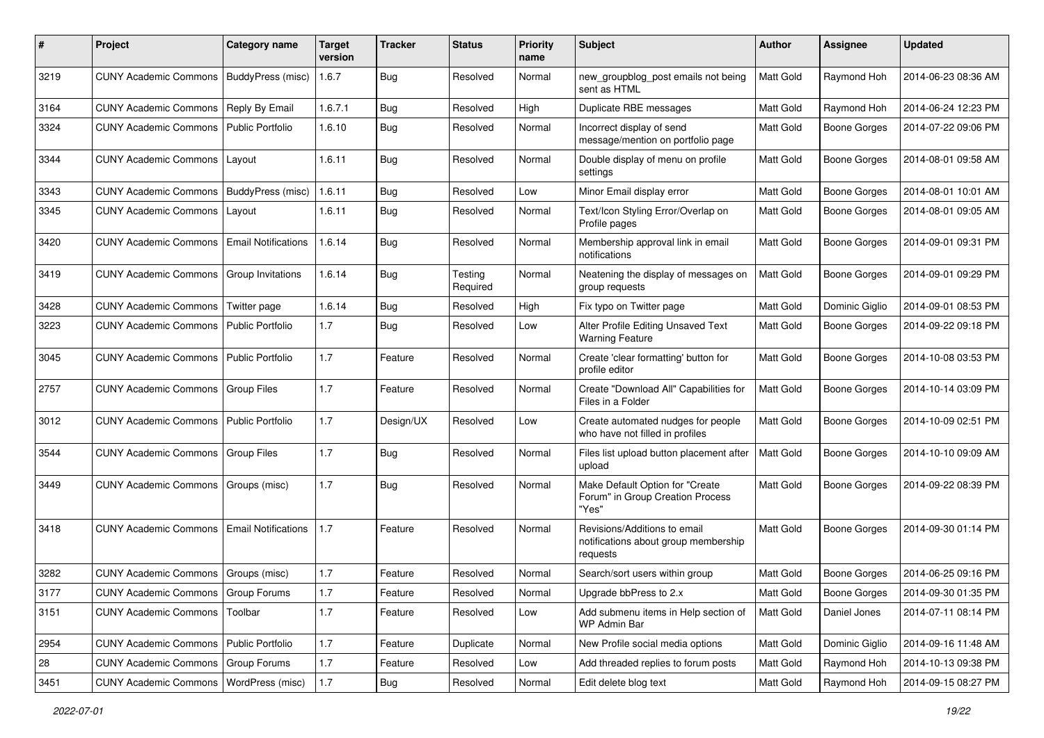| #    | Project                                  | Category name              | Target<br>version | <b>Tracker</b> | <b>Status</b>       | <b>Priority</b><br>name | Subject                                                                          | <b>Author</b>    | Assignee            | <b>Updated</b>      |
|------|------------------------------------------|----------------------------|-------------------|----------------|---------------------|-------------------------|----------------------------------------------------------------------------------|------------------|---------------------|---------------------|
| 3219 | <b>CUNY Academic Commons</b>             | BuddyPress (misc)          | 1.6.7             | <b>Bug</b>     | Resolved            | Normal                  | new_groupblog_post emails not being<br>sent as HTML                              | Matt Gold        | Raymond Hoh         | 2014-06-23 08:36 AM |
| 3164 | <b>CUNY Academic Commons</b>             | Reply By Email             | 1.6.7.1           | Bug            | Resolved            | High                    | Duplicate RBE messages                                                           | Matt Gold        | Raymond Hoh         | 2014-06-24 12:23 PM |
| 3324 | <b>CUNY Academic Commons</b>             | Public Portfolio           | 1.6.10            | <b>Bug</b>     | Resolved            | Normal                  | Incorrect display of send<br>message/mention on portfolio page                   | Matt Gold        | Boone Gorges        | 2014-07-22 09:06 PM |
| 3344 | <b>CUNY Academic Commons</b>             | Layout                     | 1.6.11            | Bug            | Resolved            | Normal                  | Double display of menu on profile<br>settings                                    | Matt Gold        | <b>Boone Gorges</b> | 2014-08-01 09:58 AM |
| 3343 | <b>CUNY Academic Commons</b>             | BuddyPress (misc)          | 1.6.11            | Bug            | Resolved            | Low                     | Minor Email display error                                                        | Matt Gold        | Boone Gorges        | 2014-08-01 10:01 AM |
| 3345 | <b>CUNY Academic Commons</b>             | Layout                     | 1.6.11            | Bug            | Resolved            | Normal                  | Text/Icon Styling Error/Overlap on<br>Profile pages                              | Matt Gold        | Boone Gorges        | 2014-08-01 09:05 AM |
| 3420 | <b>CUNY Academic Commons</b>             | <b>Email Notifications</b> | 1.6.14            | Bug            | Resolved            | Normal                  | Membership approval link in email<br>notifications                               | Matt Gold        | <b>Boone Gorges</b> | 2014-09-01 09:31 PM |
| 3419 | <b>CUNY Academic Commons</b>             | Group Invitations          | 1.6.14            | Bug            | Testing<br>Required | Normal                  | Neatening the display of messages on<br>group requests                           | Matt Gold        | <b>Boone Gorges</b> | 2014-09-01 09:29 PM |
| 3428 | <b>CUNY Academic Commons</b>             | Twitter page               | 1.6.14            | Bug            | Resolved            | High                    | Fix typo on Twitter page                                                         | Matt Gold        | Dominic Giglio      | 2014-09-01 08:53 PM |
| 3223 | <b>CUNY Academic Commons</b>             | <b>Public Portfolio</b>    | 1.7               | Bug            | Resolved            | Low                     | Alter Profile Editing Unsaved Text<br><b>Warning Feature</b>                     | Matt Gold        | Boone Gorges        | 2014-09-22 09:18 PM |
| 3045 | <b>CUNY Academic Commons</b>             | Public Portfolio           | 1.7               | Feature        | Resolved            | Normal                  | Create 'clear formatting' button for<br>profile editor                           | Matt Gold        | Boone Gorges        | 2014-10-08 03:53 PM |
| 2757 | <b>CUNY Academic Commons</b>             | Group Files                | 1.7               | Feature        | Resolved            | Normal                  | Create "Download All" Capabilities for<br>Files in a Folder                      | <b>Matt Gold</b> | Boone Gorges        | 2014-10-14 03:09 PM |
| 3012 | <b>CUNY Academic Commons</b>             | <b>Public Portfolio</b>    | 1.7               | Design/UX      | Resolved            | Low                     | Create automated nudges for people<br>who have not filled in profiles            | Matt Gold        | Boone Gorges        | 2014-10-09 02:51 PM |
| 3544 | <b>CUNY Academic Commons</b>             | <b>Group Files</b>         | 1.7               | Bug            | Resolved            | Normal                  | Files list upload button placement after<br>upload                               | Matt Gold        | <b>Boone Gorges</b> | 2014-10-10 09:09 AM |
| 3449 | CUNY Academic Commons   Groups (misc)    |                            | 1.7               | Bug            | Resolved            | Normal                  | Make Default Option for "Create<br>Forum" in Group Creation Process<br>"Yes"     | Matt Gold        | Boone Gorges        | 2014-09-22 08:39 PM |
| 3418 | <b>CUNY Academic Commons</b>             | <b>Email Notifications</b> | 1.7               | Feature        | Resolved            | Normal                  | Revisions/Additions to email<br>notifications about group membership<br>requests | Matt Gold        | <b>Boone Gorges</b> | 2014-09-30 01:14 PM |
| 3282 | <b>CUNY Academic Commons</b>             | Groups (misc)              | 1.7               | Feature        | Resolved            | Normal                  | Search/sort users within group                                                   | Matt Gold        | <b>Boone Gorges</b> | 2014-06-25 09:16 PM |
| 3177 | CUNY Academic Commons   Group Forums     |                            | 1.7               | Feature        | Resolved            | Normal                  | Upgrade bbPress to 2.x                                                           | <b>Matt Gold</b> | Boone Gorges        | 2014-09-30 01:35 PM |
| 3151 | <b>CUNY Academic Commons</b>             | Toolbar                    | 1.7               | Feature        | Resolved            | Low                     | Add submenu items in Help section of<br>WP Admin Bar                             | <b>Matt Gold</b> | Daniel Jones        | 2014-07-11 08:14 PM |
| 2954 | CUNY Academic Commons   Public Portfolio |                            | 1.7               | Feature        | Duplicate           | Normal                  | New Profile social media options                                                 | Matt Gold        | Dominic Giglio      | 2014-09-16 11:48 AM |
| 28   | <b>CUNY Academic Commons</b>             | Group Forums               | 1.7               | Feature        | Resolved            | Low                     | Add threaded replies to forum posts                                              | Matt Gold        | Raymond Hoh         | 2014-10-13 09:38 PM |
| 3451 | <b>CUNY Academic Commons</b>             | WordPress (misc)           | 1.7               | <b>Bug</b>     | Resolved            | Normal                  | Edit delete blog text                                                            | Matt Gold        | Raymond Hoh         | 2014-09-15 08:27 PM |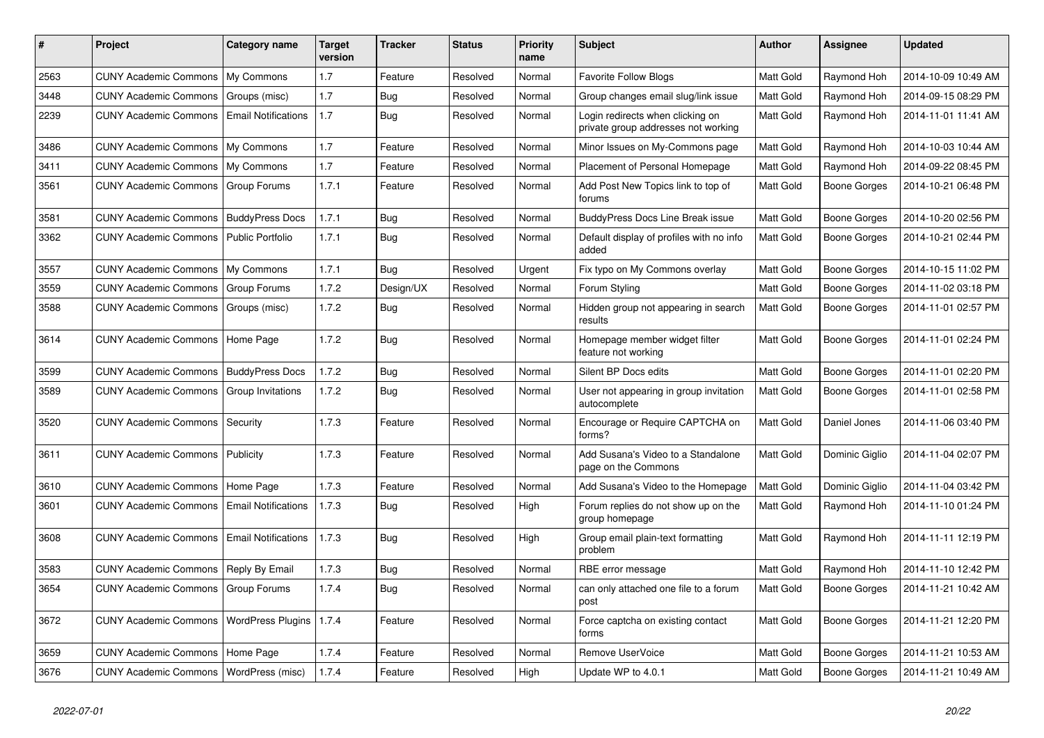| #    | Project                                  | Category name              | Target<br>version | <b>Tracker</b> | <b>Status</b> | <b>Priority</b><br>name | <b>Subject</b>                                                          | <b>Author</b>    | Assignee       | <b>Updated</b>      |
|------|------------------------------------------|----------------------------|-------------------|----------------|---------------|-------------------------|-------------------------------------------------------------------------|------------------|----------------|---------------------|
| 2563 | <b>CUNY Academic Commons</b>             | My Commons                 | 1.7               | Feature        | Resolved      | Normal                  | <b>Favorite Follow Blogs</b>                                            | Matt Gold        | Raymond Hoh    | 2014-10-09 10:49 AM |
| 3448 | <b>CUNY Academic Commons</b>             | Groups (misc)              | 1.7               | Bug            | Resolved      | Normal                  | Group changes email slug/link issue                                     | Matt Gold        | Raymond Hoh    | 2014-09-15 08:29 PM |
| 2239 | <b>CUNY Academic Commons</b>             | <b>Email Notifications</b> | 1.7               | Bug            | Resolved      | Normal                  | Login redirects when clicking on<br>private group addresses not working | <b>Matt Gold</b> | Raymond Hoh    | 2014-11-01 11:41 AM |
| 3486 | <b>CUNY Academic Commons</b>             | My Commons                 | 1.7               | Feature        | Resolved      | Normal                  | Minor Issues on My-Commons page                                         | Matt Gold        | Raymond Hoh    | 2014-10-03 10:44 AM |
| 3411 | <b>CUNY Academic Commons</b>             | My Commons                 | 1.7               | Feature        | Resolved      | Normal                  | Placement of Personal Homepage                                          | Matt Gold        | Raymond Hoh    | 2014-09-22 08:45 PM |
| 3561 | <b>CUNY Academic Commons</b>             | Group Forums               | 1.7.1             | Feature        | Resolved      | Normal                  | Add Post New Topics link to top of<br>forums                            | Matt Gold        | Boone Gorges   | 2014-10-21 06:48 PM |
| 3581 | <b>CUNY Academic Commons</b>             | <b>BuddyPress Docs</b>     | 1.7.1             | Bug            | Resolved      | Normal                  | <b>BuddyPress Docs Line Break issue</b>                                 | Matt Gold        | Boone Gorges   | 2014-10-20 02:56 PM |
| 3362 | <b>CUNY Academic Commons</b>             | <b>Public Portfolio</b>    | 1.7.1             | Bug            | Resolved      | Normal                  | Default display of profiles with no info<br>added                       | Matt Gold        | Boone Gorges   | 2014-10-21 02:44 PM |
| 3557 | <b>CUNY Academic Commons</b>             | My Commons                 | 1.7.1             | <b>Bug</b>     | Resolved      | Urgent                  | Fix typo on My Commons overlay                                          | Matt Gold        | Boone Gorges   | 2014-10-15 11:02 PM |
| 3559 | <b>CUNY Academic Commons</b>             | Group Forums               | 1.7.2             | Design/UX      | Resolved      | Normal                  | Forum Styling                                                           | Matt Gold        | Boone Gorges   | 2014-11-02 03:18 PM |
| 3588 | <b>CUNY Academic Commons</b>             | Groups (misc)              | 1.7.2             | <b>Bug</b>     | Resolved      | Normal                  | Hidden group not appearing in search<br>results                         | Matt Gold        | Boone Gorges   | 2014-11-01 02:57 PM |
| 3614 | <b>CUNY Academic Commons</b>             | Home Page                  | 1.7.2             | <b>Bug</b>     | Resolved      | Normal                  | Homepage member widget filter<br>feature not working                    | <b>Matt Gold</b> | Boone Gorges   | 2014-11-01 02:24 PM |
| 3599 | <b>CUNY Academic Commons</b>             | <b>BuddyPress Docs</b>     | 1.7.2             | Bug            | Resolved      | Normal                  | Silent BP Docs edits                                                    | Matt Gold        | Boone Gorges   | 2014-11-01 02:20 PM |
| 3589 | <b>CUNY Academic Commons</b>             | Group Invitations          | 1.7.2             | <b>Bug</b>     | Resolved      | Normal                  | User not appearing in group invitation<br>autocomplete                  | Matt Gold        | Boone Gorges   | 2014-11-01 02:58 PM |
| 3520 | <b>CUNY Academic Commons</b>             | Security                   | 1.7.3             | Feature        | Resolved      | Normal                  | Encourage or Require CAPTCHA on<br>forms?                               | Matt Gold        | Daniel Jones   | 2014-11-06 03:40 PM |
| 3611 | <b>CUNY Academic Commons</b>             | Publicity                  | 1.7.3             | Feature        | Resolved      | Normal                  | Add Susana's Video to a Standalone<br>page on the Commons               | Matt Gold        | Dominic Giglio | 2014-11-04 02:07 PM |
| 3610 | <b>CUNY Academic Commons</b>             | Home Page                  | 1.7.3             | Feature        | Resolved      | Normal                  | Add Susana's Video to the Homepage                                      | Matt Gold        | Dominic Giglio | 2014-11-04 03:42 PM |
| 3601 | <b>CUNY Academic Commons</b>             | <b>Email Notifications</b> | 1.7.3             | Bug            | Resolved      | High                    | Forum replies do not show up on the<br>group homepage                   | Matt Gold        | Raymond Hoh    | 2014-11-10 01:24 PM |
| 3608 | <b>CUNY Academic Commons</b>             | <b>Email Notifications</b> | 1.7.3             | <b>Bug</b>     | Resolved      | High                    | Group email plain-text formatting<br>problem                            | Matt Gold        | Raymond Hoh    | 2014-11-11 12:19 PM |
| 3583 | <b>CUNY Academic Commons</b>             | Reply By Email             | 1.7.3             | Bug            | Resolved      | Normal                  | RBE error message                                                       | <b>Matt Gold</b> | Raymond Hoh    | 2014-11-10 12:42 PM |
| 3654 | <b>CUNY Academic Commons</b>             | Group Forums               | 1.7.4             | <b>Bug</b>     | Resolved      | Normal                  | can only attached one file to a forum<br>post                           | Matt Gold        | Boone Gorges   | 2014-11-21 10:42 AM |
| 3672 | <b>CUNY Academic Commons</b>             | <b>WordPress Plugins</b>   | 1.7.4             | Feature        | Resolved      | Normal                  | Force captcha on existing contact<br>forms                              | <b>Matt Gold</b> | Boone Gorges   | 2014-11-21 12:20 PM |
| 3659 | <b>CUNY Academic Commons</b>             | Home Page                  | 1.7.4             | Feature        | Resolved      | Normal                  | Remove UserVoice                                                        | Matt Gold        | Boone Gorges   | 2014-11-21 10:53 AM |
| 3676 | CUNY Academic Commons   WordPress (misc) |                            | 1.7.4             | Feature        | Resolved      | High                    | Update WP to 4.0.1                                                      | Matt Gold        | Boone Gorges   | 2014-11-21 10:49 AM |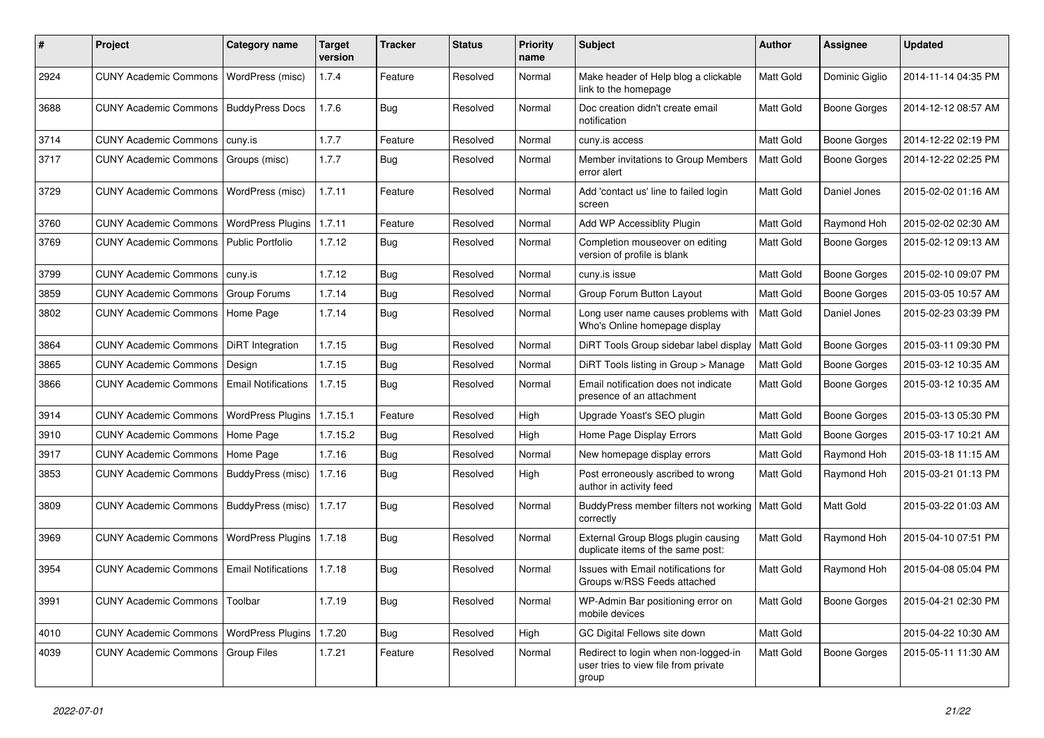| #    | Project                           | <b>Category name</b>       | <b>Target</b><br>version | <b>Tracker</b> | <b>Status</b> | <b>Priority</b><br>name | Subject                                                                               | <b>Author</b> | <b>Assignee</b>     | <b>Updated</b>      |
|------|-----------------------------------|----------------------------|--------------------------|----------------|---------------|-------------------------|---------------------------------------------------------------------------------------|---------------|---------------------|---------------------|
| 2924 | <b>CUNY Academic Commons</b>      | WordPress (misc)           | 1.7.4                    | Feature        | Resolved      | Normal                  | Make header of Help blog a clickable<br>link to the homepage                          | Matt Gold     | Dominic Giglio      | 2014-11-14 04:35 PM |
| 3688 | <b>CUNY Academic Commons</b>      | <b>BuddyPress Docs</b>     | 1.7.6                    | Bug            | Resolved      | Normal                  | Doc creation didn't create email<br>notification                                      | Matt Gold     | <b>Boone Gorges</b> | 2014-12-12 08:57 AM |
| 3714 | <b>CUNY Academic Commons</b>      | cuny.is                    | 1.7.7                    | Feature        | Resolved      | Normal                  | cuny.is access                                                                        | Matt Gold     | <b>Boone Gorges</b> | 2014-12-22 02:19 PM |
| 3717 | <b>CUNY Academic Commons</b>      | Groups (misc)              | 1.7.7                    | Bug            | Resolved      | Normal                  | Member invitations to Group Members<br>error alert                                    | Matt Gold     | <b>Boone Gorges</b> | 2014-12-22 02:25 PM |
| 3729 | <b>CUNY Academic Commons</b>      | WordPress (misc)           | 1.7.11                   | Feature        | Resolved      | Normal                  | Add 'contact us' line to failed login<br>screen                                       | Matt Gold     | Daniel Jones        | 2015-02-02 01:16 AM |
| 3760 | <b>CUNY Academic Commons</b>      | <b>WordPress Plugins</b>   | 1.7.11                   | Feature        | Resolved      | Normal                  | Add WP Accessiblity Plugin                                                            | Matt Gold     | Raymond Hoh         | 2015-02-02 02:30 AM |
| 3769 | <b>CUNY Academic Commons</b>      | <b>Public Portfolio</b>    | 1.7.12                   | Bug            | Resolved      | Normal                  | Completion mouseover on editing<br>version of profile is blank                        | Matt Gold     | <b>Boone Gorges</b> | 2015-02-12 09:13 AM |
| 3799 | <b>CUNY Academic Commons</b>      | cuny.is                    | 1.7.12                   | Bug            | Resolved      | Normal                  | cuny.is issue                                                                         | Matt Gold     | <b>Boone Gorges</b> | 2015-02-10 09:07 PM |
| 3859 | <b>CUNY Academic Commons</b>      | Group Forums               | 1.7.14                   | Bug            | Resolved      | Normal                  | Group Forum Button Layout                                                             | Matt Gold     | <b>Boone Gorges</b> | 2015-03-05 10:57 AM |
| 3802 | <b>CUNY Academic Commons</b>      | Home Page                  | 1.7.14                   | Bug            | Resolved      | Normal                  | Long user name causes problems with<br>Who's Online homepage display                  | Matt Gold     | Daniel Jones        | 2015-02-23 03:39 PM |
| 3864 | <b>CUNY Academic Commons</b>      | DiRT Integration           | 1.7.15                   | Bug            | Resolved      | Normal                  | DiRT Tools Group sidebar label display                                                | Matt Gold     | <b>Boone Gorges</b> | 2015-03-11 09:30 PM |
| 3865 | <b>CUNY Academic Commons</b>      | Design                     | 1.7.15                   | Bug            | Resolved      | Normal                  | DiRT Tools listing in Group > Manage                                                  | Matt Gold     | <b>Boone Gorges</b> | 2015-03-12 10:35 AM |
| 3866 | <b>CUNY Academic Commons</b>      | <b>Email Notifications</b> | 1.7.15                   | Bug            | Resolved      | Normal                  | Email notification does not indicate<br>presence of an attachment                     | Matt Gold     | <b>Boone Gorges</b> | 2015-03-12 10:35 AM |
| 3914 | <b>CUNY Academic Commons</b>      | WordPress Plugins          | 1.7.15.1                 | Feature        | Resolved      | High                    | Upgrade Yoast's SEO plugin                                                            | Matt Gold     | <b>Boone Gorges</b> | 2015-03-13 05:30 PM |
| 3910 | CUNY Academic Commons   Home Page |                            | 1.7.15.2                 | Bug            | Resolved      | High                    | Home Page Display Errors                                                              | Matt Gold     | <b>Boone Gorges</b> | 2015-03-17 10:21 AM |
| 3917 | <b>CUNY Academic Commons</b>      | Home Page                  | 1.7.16                   | <b>Bug</b>     | Resolved      | Normal                  | New homepage display errors                                                           | Matt Gold     | Raymond Hoh         | 2015-03-18 11:15 AM |
| 3853 | <b>CUNY Academic Commons</b>      | BuddyPress (misc)          | 1.7.16                   | Bug            | Resolved      | High                    | Post erroneously ascribed to wrong<br>author in activity feed                         | Matt Gold     | Raymond Hoh         | 2015-03-21 01:13 PM |
| 3809 | <b>CUNY Academic Commons</b>      | BuddyPress (misc)          | 1.7.17                   | <b>Bug</b>     | Resolved      | Normal                  | BuddyPress member filters not working<br>correctly                                    | Matt Gold     | Matt Gold           | 2015-03-22 01:03 AM |
| 3969 | <b>CUNY Academic Commons</b>      | WordPress Plugins   1.7.18 |                          | <b>Bug</b>     | Resolved      | Normal                  | External Group Blogs plugin causing<br>duplicate items of the same post:              | Matt Gold     | Raymond Hoh         | 2015-04-10 07:51 PM |
| 3954 | <b>CUNY Academic Commons</b>      | <b>Email Notifications</b> | 1.7.18                   | Bug            | Resolved      | Normal                  | Issues with Email notifications for<br>Groups w/RSS Feeds attached                    | Matt Gold     | Raymond Hoh         | 2015-04-08 05:04 PM |
| 3991 | <b>CUNY Academic Commons</b>      | Toolbar                    | 1.7.19                   | Bug            | Resolved      | Normal                  | WP-Admin Bar positioning error on<br>mobile devices                                   | Matt Gold     | Boone Gorges        | 2015-04-21 02:30 PM |
| 4010 | <b>CUNY Academic Commons</b>      | <b>WordPress Plugins</b>   | 1.7.20                   | Bug            | Resolved      | High                    | GC Digital Fellows site down                                                          | Matt Gold     |                     | 2015-04-22 10:30 AM |
| 4039 | <b>CUNY Academic Commons</b>      | <b>Group Files</b>         | 1.7.21                   | Feature        | Resolved      | Normal                  | Redirect to login when non-logged-in<br>user tries to view file from private<br>group | Matt Gold     | <b>Boone Gorges</b> | 2015-05-11 11:30 AM |